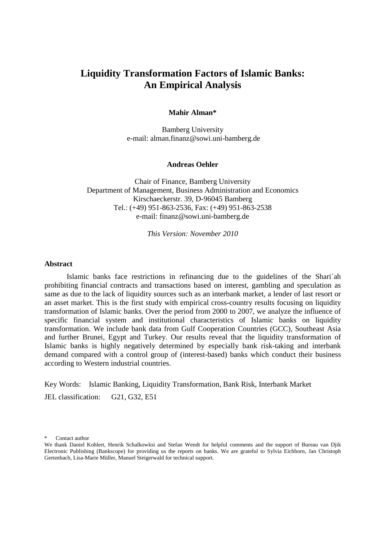# **Liquidity Transformation Factors of Islamic Banks: An Empirical Analysis**

### **Mahir Alman\***

Bamberg University e-mail: alman.finanz@sowi.uni-bamberg.de

#### **Andreas Oehler**

Chair of Finance, Bamberg University Department of Management, Business Administration and Economics Kirschaeckerstr. 39, D-96045 Bamberg Tel.: (+49) 951-863-2536, Fax: (+49) 951-863-2538 e-mail: finanz@sowi.uni-bamberg.de

*This Version: November 2010* 

#### **Abstract**

 Islamic banks face restrictions in refinancing due to the guidelines of the Shari´ah prohibiting financial contracts and transactions based on interest, gambling and speculation as same as due to the lack of liquidity sources such as an interbank market, a lender of last resort or an asset market. This is the first study with empirical cross-country results focusing on liquidity transformation of Islamic banks. Over the period from 2000 to 2007, we analyze the influence of specific financial system and institutional characteristics of Islamic banks on liquidity transformation. We include bank data from Gulf Cooperation Countries (GCC), Southeast Asia and further Brunei, Egypt and Turkey. Our results reveal that the liquidity transformation of Islamic banks is highly negatively determined by especially bank risk-taking and interbank demand compared with a control group of (interest-based) banks which conduct their business according to Western industrial countries.

Key Words: Islamic Banking, Liquidity Transformation, Bank Risk, Interbank Market JEL classification: G21, G32, E51

Contact author

We thank Daniel Kohlert, Henrik Schalkowksi and Stefan Wendt for helpful comments and the support of Bureau van Djik Electronic Publishing (Bankscope) for providing us the reports on banks. We are grateful to Sylvia Eichhorn, Jan Christoph Gertenbach, Lisa-Marie Müller, Manuel Steigerwald for technical support.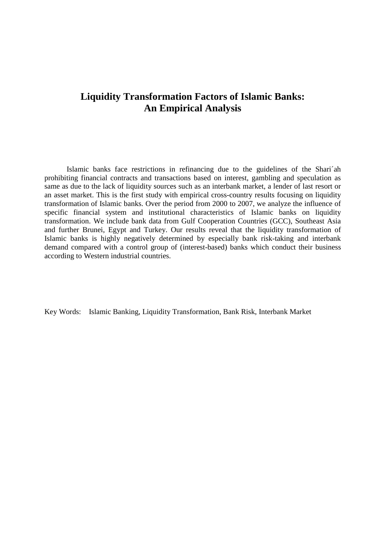# **Liquidity Transformation Factors of Islamic Banks: An Empirical Analysis**

 Islamic banks face restrictions in refinancing due to the guidelines of the Shari´ah prohibiting financial contracts and transactions based on interest, gambling and speculation as same as due to the lack of liquidity sources such as an interbank market, a lender of last resort or an asset market. This is the first study with empirical cross-country results focusing on liquidity transformation of Islamic banks. Over the period from 2000 to 2007, we analyze the influence of specific financial system and institutional characteristics of Islamic banks on liquidity transformation. We include bank data from Gulf Cooperation Countries (GCC), Southeast Asia and further Brunei, Egypt and Turkey. Our results reveal that the liquidity transformation of Islamic banks is highly negatively determined by especially bank risk-taking and interbank demand compared with a control group of (interest-based) banks which conduct their business according to Western industrial countries.

Key Words: Islamic Banking, Liquidity Transformation, Bank Risk, Interbank Market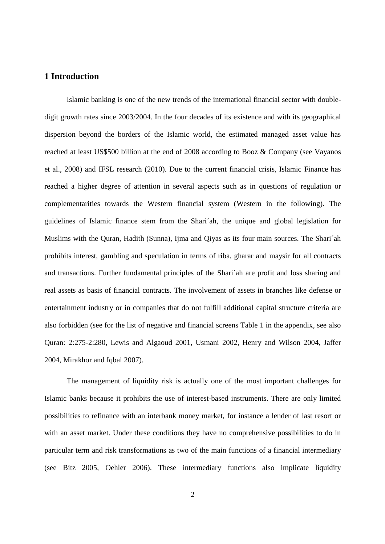# **1 Introduction**

 Islamic banking is one of the new trends of the international financial sector with doubledigit growth rates since 2003/2004. In the four decades of its existence and with its geographical dispersion beyond the borders of the Islamic world, the estimated managed asset value has reached at least US\$500 billion at the end of 2008 according to Booz & Company (see Vayanos et al., 2008) and IFSL research (2010). Due to the current financial crisis, Islamic Finance has reached a higher degree of attention in several aspects such as in questions of regulation or complementarities towards the Western financial system (Western in the following). The guidelines of Islamic finance stem from the Shari´ah, the unique and global legislation for Muslims with the Quran, Hadith (Sunna), Ijma and Qiyas as its four main sources. The Shari´ah prohibits interest, gambling and speculation in terms of riba, gharar and maysir for all contracts and transactions. Further fundamental principles of the Shari´ah are profit and loss sharing and real assets as basis of financial contracts. The involvement of assets in branches like defense or entertainment industry or in companies that do not fulfill additional capital structure criteria are also forbidden (see for the list of negative and financial screens Table 1 in the appendix, see also Quran: 2:275-2:280, Lewis and Algaoud 2001, Usmani 2002, Henry and Wilson 2004, Jaffer 2004, Mirakhor and Iqbal 2007).

 The management of liquidity risk is actually one of the most important challenges for Islamic banks because it prohibits the use of interest-based instruments. There are only limited possibilities to refinance with an interbank money market, for instance a lender of last resort or with an asset market. Under these conditions they have no comprehensive possibilities to do in particular term and risk transformations as two of the main functions of a financial intermediary (see Bitz 2005, Oehler 2006). These intermediary functions also implicate liquidity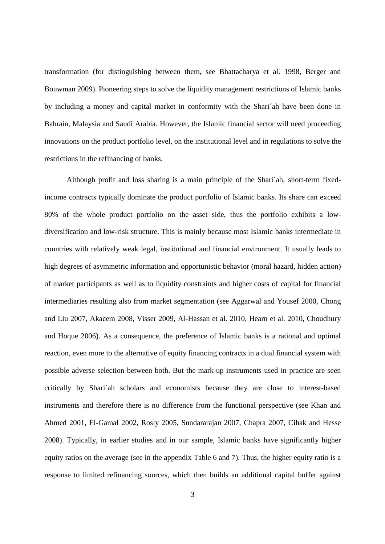transformation (for distinguishing between them, see Bhattacharya et al. 1998, Berger and Bouwman 2009). Pioneering steps to solve the liquidity management restrictions of Islamic banks by including a money and capital market in conformity with the Shari´ah have been done in Bahrain, Malaysia and Saudi Arabia. However, the Islamic financial sector will need proceeding innovations on the product portfolio level, on the institutional level and in regulations to solve the restrictions in the refinancing of banks.

 Although profit and loss sharing is a main principle of the Shari´ah, short-term fixedincome contracts typically dominate the product portfolio of Islamic banks. Its share can exceed 80% of the whole product portfolio on the asset side, thus the portfolio exhibits a lowdiversification and low-risk structure. This is mainly because most Islamic banks intermediate in countries with relatively weak legal, institutional and financial environment. It usually leads to high degrees of asymmetric information and opportunistic behavior (moral hazard, hidden action) of market participants as well as to liquidity constraints and higher costs of capital for financial intermediaries resulting also from market segmentation (see Aggarwal and Yousef 2000, Chong and Liu 2007, Akacem 2008, Visser 2009, Al-Hassan et al. 2010, Hearn et al. 2010, Choudhury and Hoque 2006). As a consequence, the preference of Islamic banks is a rational and optimal reaction, even more to the alternative of equity financing contracts in a dual financial system with possible adverse selection between both. But the mark-up instruments used in practice are seen critically by Shari´ah scholars and economists because they are close to interest-based instruments and therefore there is no difference from the functional perspective (see Khan and Ahmed 2001, El-Gamal 2002, Rosly 2005, Sundararajan 2007, Chapra 2007, Cihak and Hesse 2008). Typically, in earlier studies and in our sample, Islamic banks have significantly higher equity ratios on the average (see in the appendix Table 6 and 7). Thus, the higher equity ratio is a response to limited refinancing sources, which then builds an additional capital buffer against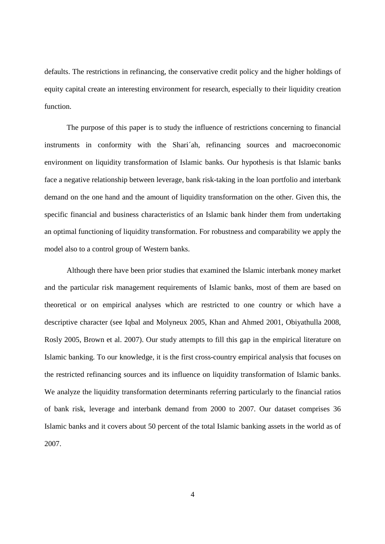defaults. The restrictions in refinancing, the conservative credit policy and the higher holdings of equity capital create an interesting environment for research, especially to their liquidity creation function.

 The purpose of this paper is to study the influence of restrictions concerning to financial instruments in conformity with the Shari´ah, refinancing sources and macroeconomic environment on liquidity transformation of Islamic banks. Our hypothesis is that Islamic banks face a negative relationship between leverage, bank risk-taking in the loan portfolio and interbank demand on the one hand and the amount of liquidity transformation on the other. Given this, the specific financial and business characteristics of an Islamic bank hinder them from undertaking an optimal functioning of liquidity transformation. For robustness and comparability we apply the model also to a control group of Western banks.

 Although there have been prior studies that examined the Islamic interbank money market and the particular risk management requirements of Islamic banks, most of them are based on theoretical or on empirical analyses which are restricted to one country or which have a descriptive character (see Iqbal and Molyneux 2005, Khan and Ahmed 2001, Obiyathulla 2008, Rosly 2005, Brown et al. 2007). Our study attempts to fill this gap in the empirical literature on Islamic banking. To our knowledge, it is the first cross-country empirical analysis that focuses on the restricted refinancing sources and its influence on liquidity transformation of Islamic banks. We analyze the liquidity transformation determinants referring particularly to the financial ratios of bank risk, leverage and interbank demand from 2000 to 2007. Our dataset comprises 36 Islamic banks and it covers about 50 percent of the total Islamic banking assets in the world as of 2007.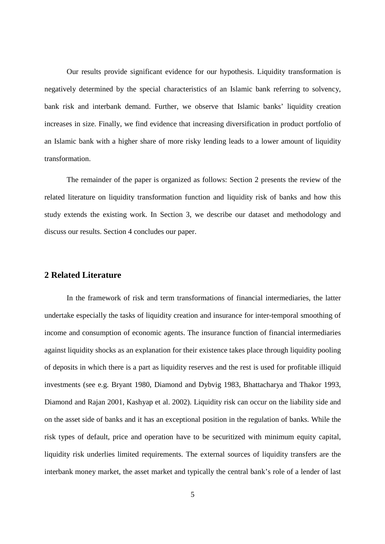Our results provide significant evidence for our hypothesis. Liquidity transformation is negatively determined by the special characteristics of an Islamic bank referring to solvency, bank risk and interbank demand. Further, we observe that Islamic banks' liquidity creation increases in size. Finally, we find evidence that increasing diversification in product portfolio of an Islamic bank with a higher share of more risky lending leads to a lower amount of liquidity transformation.

 The remainder of the paper is organized as follows: Section 2 presents the review of the related literature on liquidity transformation function and liquidity risk of banks and how this study extends the existing work. In Section 3, we describe our dataset and methodology and discuss our results. Section 4 concludes our paper.

# **2 Related Literature**

 In the framework of risk and term transformations of financial intermediaries, the latter undertake especially the tasks of liquidity creation and insurance for inter-temporal smoothing of income and consumption of economic agents. The insurance function of financial intermediaries against liquidity shocks as an explanation for their existence takes place through liquidity pooling of deposits in which there is a part as liquidity reserves and the rest is used for profitable illiquid investments (see e.g. Bryant 1980, Diamond and Dybvig 1983, Bhattacharya and Thakor 1993, Diamond and Rajan 2001, Kashyap et al. 2002). Liquidity risk can occur on the liability side and on the asset side of banks and it has an exceptional position in the regulation of banks. While the risk types of default, price and operation have to be securitized with minimum equity capital, liquidity risk underlies limited requirements. The external sources of liquidity transfers are the interbank money market, the asset market and typically the central bank's role of a lender of last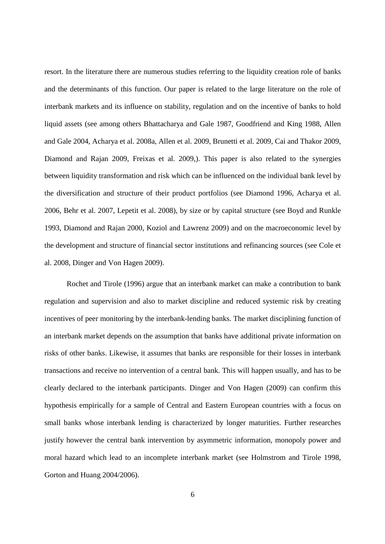resort. In the literature there are numerous studies referring to the liquidity creation role of banks and the determinants of this function. Our paper is related to the large literature on the role of interbank markets and its influence on stability, regulation and on the incentive of banks to hold liquid assets (see among others Bhattacharya and Gale 1987, Goodfriend and King 1988, Allen and Gale 2004, Acharya et al. 2008a, Allen et al. 2009, Brunetti et al. 2009, Cai and Thakor 2009, Diamond and Rajan 2009, Freixas et al. 2009,). This paper is also related to the synergies between liquidity transformation and risk which can be influenced on the individual bank level by the diversification and structure of their product portfolios (see Diamond 1996, Acharya et al. 2006, Behr et al. 2007, Lepetit et al. 2008), by size or by capital structure (see Boyd and Runkle 1993, Diamond and Rajan 2000, Koziol and Lawrenz 2009) and on the macroeconomic level by the development and structure of financial sector institutions and refinancing sources (see Cole et al. 2008, Dinger and Von Hagen 2009).

 Rochet and Tirole (1996) argue that an interbank market can make a contribution to bank regulation and supervision and also to market discipline and reduced systemic risk by creating incentives of peer monitoring by the interbank-lending banks. The market disciplining function of an interbank market depends on the assumption that banks have additional private information on risks of other banks. Likewise, it assumes that banks are responsible for their losses in interbank transactions and receive no intervention of a central bank. This will happen usually, and has to be clearly declared to the interbank participants. Dinger and Von Hagen (2009) can confirm this hypothesis empirically for a sample of Central and Eastern European countries with a focus on small banks whose interbank lending is characterized by longer maturities. Further researches justify however the central bank intervention by asymmetric information, monopoly power and moral hazard which lead to an incomplete interbank market (see Holmstrom and Tirole 1998, Gorton and Huang 2004/2006).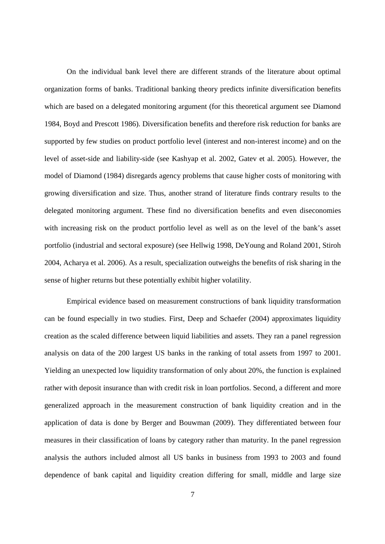On the individual bank level there are different strands of the literature about optimal organization forms of banks. Traditional banking theory predicts infinite diversification benefits which are based on a delegated monitoring argument (for this theoretical argument see Diamond 1984, Boyd and Prescott 1986). Diversification benefits and therefore risk reduction for banks are supported by few studies on product portfolio level (interest and non-interest income) and on the level of asset-side and liability-side (see Kashyap et al. 2002, Gatev et al. 2005). However, the model of Diamond (1984) disregards agency problems that cause higher costs of monitoring with growing diversification and size. Thus, another strand of literature finds contrary results to the delegated monitoring argument. These find no diversification benefits and even diseconomies with increasing risk on the product portfolio level as well as on the level of the bank's asset portfolio (industrial and sectoral exposure) (see Hellwig 1998, DeYoung and Roland 2001, Stiroh 2004, Acharya et al. 2006). As a result, specialization outweighs the benefits of risk sharing in the sense of higher returns but these potentially exhibit higher volatility.

 Empirical evidence based on measurement constructions of bank liquidity transformation can be found especially in two studies. First, Deep and Schaefer (2004) approximates liquidity creation as the scaled difference between liquid liabilities and assets. They ran a panel regression analysis on data of the 200 largest US banks in the ranking of total assets from 1997 to 2001. Yielding an unexpected low liquidity transformation of only about 20%, the function is explained rather with deposit insurance than with credit risk in loan portfolios. Second, a different and more generalized approach in the measurement construction of bank liquidity creation and in the application of data is done by Berger and Bouwman (2009). They differentiated between four measures in their classification of loans by category rather than maturity. In the panel regression analysis the authors included almost all US banks in business from 1993 to 2003 and found dependence of bank capital and liquidity creation differing for small, middle and large size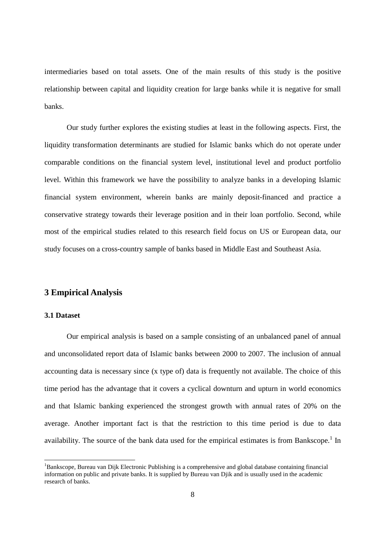intermediaries based on total assets. One of the main results of this study is the positive relationship between capital and liquidity creation for large banks while it is negative for small banks.

 Our study further explores the existing studies at least in the following aspects. First, the liquidity transformation determinants are studied for Islamic banks which do not operate under comparable conditions on the financial system level, institutional level and product portfolio level. Within this framework we have the possibility to analyze banks in a developing Islamic financial system environment, wherein banks are mainly deposit-financed and practice a conservative strategy towards their leverage position and in their loan portfolio. Second, while most of the empirical studies related to this research field focus on US or European data, our study focuses on a cross-country sample of banks based in Middle East and Southeast Asia.

## **3 Empirical Analysis**

## **3.1 Dataset**

 $\overline{a}$ 

 Our empirical analysis is based on a sample consisting of an unbalanced panel of annual and unconsolidated report data of Islamic banks between 2000 to 2007. The inclusion of annual accounting data is necessary since (x type of) data is frequently not available. The choice of this time period has the advantage that it covers a cyclical downturn and upturn in world economics and that Islamic banking experienced the strongest growth with annual rates of 20% on the average. Another important fact is that the restriction to this time period is due to data availability. The source of the bank data used for the empirical estimates is from Bankscope.<sup>1</sup> In

<sup>&</sup>lt;sup>1</sup>Bankscope, Bureau van Dijk Electronic Publishing is a comprehensive and global database containing financial information on public and private banks. It is supplied by Bureau van Djik and is usually used in the academic research of banks.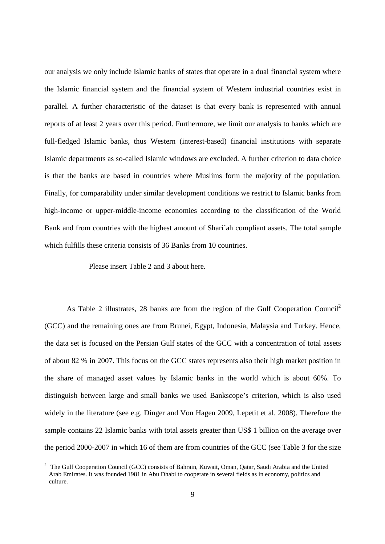our analysis we only include Islamic banks of states that operate in a dual financial system where the Islamic financial system and the financial system of Western industrial countries exist in parallel. A further characteristic of the dataset is that every bank is represented with annual reports of at least 2 years over this period. Furthermore, we limit our analysis to banks which are full-fledged Islamic banks, thus Western (interest-based) financial institutions with separate Islamic departments as so-called Islamic windows are excluded. A further criterion to data choice is that the banks are based in countries where Muslims form the majority of the population. Finally, for comparability under similar development conditions we restrict to Islamic banks from high-income or upper-middle-income economies according to the classification of the World Bank and from countries with the highest amount of Shari´ah compliant assets. The total sample which fulfills these criteria consists of 36 Banks from 10 countries.

Please insert Table 2 and 3 about here.

As Table 2 illustrates, 28 banks are from the region of the Gulf Cooperation Council<sup>2</sup> (GCC) and the remaining ones are from Brunei, Egypt, Indonesia, Malaysia and Turkey. Hence, the data set is focused on the Persian Gulf states of the GCC with a concentration of total assets of about 82 % in 2007. This focus on the GCC states represents also their high market position in the share of managed asset values by Islamic banks in the world which is about 60%. To distinguish between large and small banks we used Bankscope's criterion, which is also used widely in the literature (see e.g. Dinger and Von Hagen 2009, Lepetit et al. 2008). Therefore the sample contains 22 Islamic banks with total assets greater than US\$ 1 billion on the average over the period 2000-2007 in which 16 of them are from countries of the GCC (see Table 3 for the size

<sup>&</sup>lt;sup>2</sup> The Gulf Cooperation Council (GCC) consists of Bahrain, Kuwait, Oman, Qatar, Saudi Arabia and the United Arab Emirates. It was founded 1981 in Abu Dhabi to cooperate in several fields as in economy, politics and culture.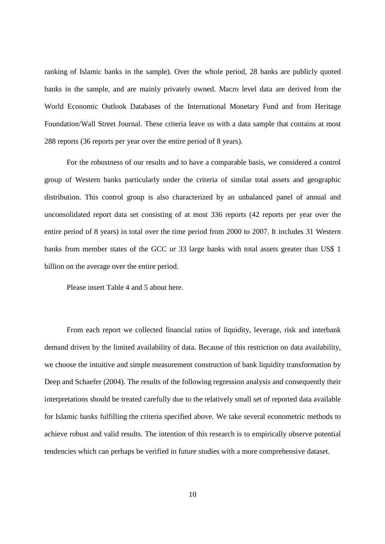ranking of Islamic banks in the sample). Over the whole period, 28 banks are publicly quoted banks in the sample, and are mainly privately owned. Macro level data are derived from the World Economic Outlook Databases of the International Monetary Fund and from Heritage Foundation/Wall Street Journal. These criteria leave us with a data sample that contains at most 288 reports (36 reports per year over the entire period of 8 years).

 For the robustness of our results and to have a comparable basis, we considered a control group of Western banks particularly under the criteria of similar total assets and geographic distribution. This control group is also characterized by an unbalanced panel of annual and unconsolidated report data set consisting of at most 336 reports (42 reports per year over the entire period of 8 years) in total over the time period from 2000 to 2007. It includes 31 Western banks from member states of the GCC or 33 large banks with total assets greater than US\$ 1 billion on the average over the entire period.

Please insert Table 4 and 5 about here.

 From each report we collected financial ratios of liquidity, leverage, risk and interbank demand driven by the limited availability of data. Because of this restriction on data availability, we choose the intuitive and simple measurement construction of bank liquidity transformation by Deep and Schaefer (2004). The results of the following regression analysis and consequently their interpretations should be treated carefully due to the relatively small set of reported data available for Islamic banks fulfilling the criteria specified above. We take several econometric methods to achieve robust and valid results. The intention of this research is to empirically observe potential tendencies which can perhaps be verified in future studies with a more comprehensive dataset.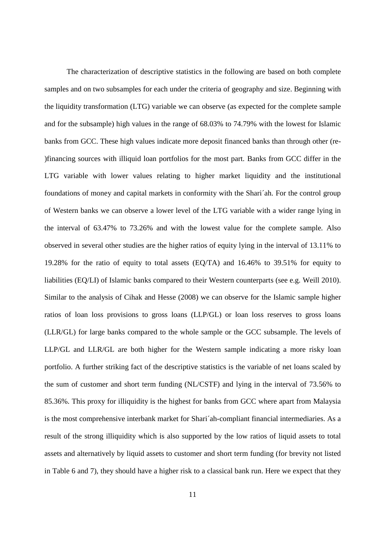The characterization of descriptive statistics in the following are based on both complete samples and on two subsamples for each under the criteria of geography and size. Beginning with the liquidity transformation (LTG) variable we can observe (as expected for the complete sample and for the subsample) high values in the range of 68.03% to 74.79% with the lowest for Islamic banks from GCC. These high values indicate more deposit financed banks than through other (re- )financing sources with illiquid loan portfolios for the most part. Banks from GCC differ in the LTG variable with lower values relating to higher market liquidity and the institutional foundations of money and capital markets in conformity with the Shari´ah. For the control group of Western banks we can observe a lower level of the LTG variable with a wider range lying in the interval of 63.47% to 73.26% and with the lowest value for the complete sample*.* Also observed in several other studies are the higher ratios of equity lying in the interval of 13.11% to 19.28% for the ratio of equity to total assets (EQ/TA) and 16.46% to 39.51% for equity to liabilities (EQ/LI) of Islamic banks compared to their Western counterparts (see e.g. Weill 2010). Similar to the analysis of Cihak and Hesse (2008) we can observe for the Islamic sample higher ratios of loan loss provisions to gross loans (LLP/GL) or loan loss reserves to gross loans (LLR/GL) for large banks compared to the whole sample or the GCC subsample. The levels of LLP/GL and LLR/GL are both higher for the Western sample indicating a more risky loan portfolio. A further striking fact of the descriptive statistics is the variable of net loans scaled by the sum of customer and short term funding (NL/CSTF) and lying in the interval of 73.56% to 85.36%. This proxy for illiquidity is the highest for banks from GCC where apart from Malaysia is the most comprehensive interbank market for Shari´ah-compliant financial intermediaries. As a result of the strong illiquidity which is also supported by the low ratios of liquid assets to total assets and alternatively by liquid assets to customer and short term funding (for brevity not listed in Table 6 and 7), they should have a higher risk to a classical bank run. Here we expect that they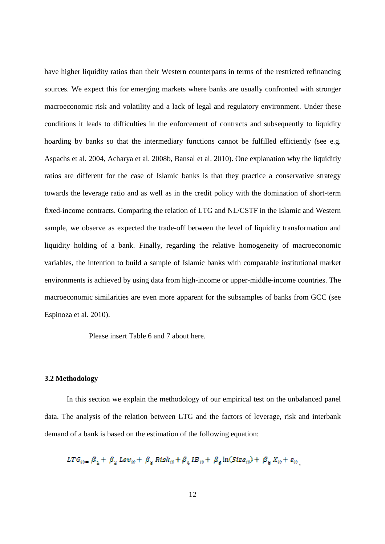have higher liquidity ratios than their Western counterparts in terms of the restricted refinancing sources. We expect this for emerging markets where banks are usually confronted with stronger macroeconomic risk and volatility and a lack of legal and regulatory environment. Under these conditions it leads to difficulties in the enforcement of contracts and subsequently to liquidity hoarding by banks so that the intermediary functions cannot be fulfilled efficiently (see e.g. Aspachs et al. 2004, Acharya et al. 2008b, Bansal et al. 2010). One explanation why the liquiditiy ratios are different for the case of Islamic banks is that they practice a conservative strategy towards the leverage ratio and as well as in the credit policy with the domination of short-term fixed-income contracts. Comparing the relation of LTG and NL/CSTF in the Islamic and Western sample, we observe as expected the trade-off between the level of liquidity transformation and liquidity holding of a bank. Finally, regarding the relative homogeneity of macroeconomic variables, the intention to build a sample of Islamic banks with comparable institutional market environments is achieved by using data from high-income or upper-middle-income countries. The macroeconomic similarities are even more apparent for the subsamples of banks from GCC (see Espinoza et al. 2010).

Please insert Table 6 and 7 about here.

## **3.2 Methodology**

 In this section we explain the methodology of our empirical test on the unbalanced panel data. The analysis of the relation between LTG and the factors of leverage, risk and interbank demand of a bank is based on the estimation of the following equation:

$$
LTG_{i\mathfrak{e}} = \beta_1 + \beta_2 \text{ Lev}_{i\mathfrak{e}} + \beta_3 \text{ Risk}_{i\mathfrak{e}} + \beta_4 \text{ IB}_{i\mathfrak{e}} + \beta_5 \ln(Size_{i\mathfrak{e}}) + \beta_6 X_{i\mathfrak{e}} + \varepsilon_{i\mathfrak{e}} ,
$$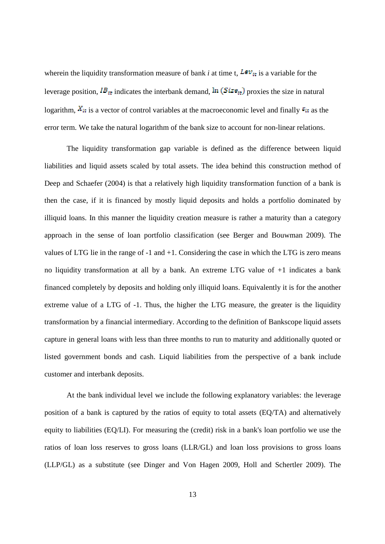wherein the liquidity transformation measure of bank *i* at time t,  $Lev_{it}$  is a variable for the leverage position,  $IB_{it}$  indicates the interbank demand,  $\ln (Size_{it})$  proxies the size in natural logarithm,  $X_{it}$  is a vector of control variables at the macroeconomic level and finally  $\varepsilon_{it}$  as the error term. We take the natural logarithm of the bank size to account for non-linear relations.

 The liquidity transformation gap variable is defined as the difference between liquid liabilities and liquid assets scaled by total assets. The idea behind this construction method of Deep and Schaefer (2004) is that a relatively high liquidity transformation function of a bank is then the case, if it is financed by mostly liquid deposits and holds a portfolio dominated by illiquid loans. In this manner the liquidity creation measure is rather a maturity than a category approach in the sense of loan portfolio classification (see Berger and Bouwman 2009). The values of LTG lie in the range of -1 and +1. Considering the case in which the LTG is zero means no liquidity transformation at all by a bank. An extreme LTG value of +1 indicates a bank financed completely by deposits and holding only illiquid loans. Equivalently it is for the another extreme value of a LTG of -1. Thus, the higher the LTG measure, the greater is the liquidity transformation by a financial intermediary. According to the definition of Bankscope liquid assets capture in general loans with less than three months to run to maturity and additionally quoted or listed government bonds and cash. Liquid liabilities from the perspective of a bank include customer and interbank deposits.

 At the bank individual level we include the following explanatory variables: the leverage position of a bank is captured by the ratios of equity to total assets (EQ/TA) and alternatively equity to liabilities (EQ/LI). For measuring the (credit) risk in a bank's loan portfolio we use the ratios of loan loss reserves to gross loans (LLR/GL) and loan loss provisions to gross loans (LLP/GL) as a substitute (see Dinger and Von Hagen 2009, Holl and Schertler 2009). The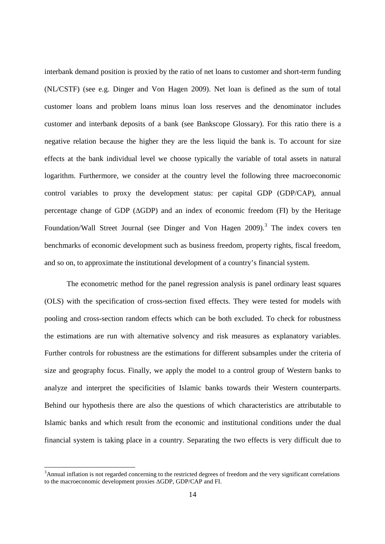interbank demand position is proxied by the ratio of net loans to customer and short-term funding (NL/CSTF) (see e.g. Dinger and Von Hagen 2009). Net loan is defined as the sum of total customer loans and problem loans minus loan loss reserves and the denominator includes customer and interbank deposits of a bank (see Bankscope Glossary). For this ratio there is a negative relation because the higher they are the less liquid the bank is. To account for size effects at the bank individual level we choose typically the variable of total assets in natural logarithm. Furthermore, we consider at the country level the following three macroeconomic control variables to proxy the development status: per capital GDP (GDP/CAP), annual percentage change of GDP (∆GDP) and an index of economic freedom (FI) by the Heritage Foundation/Wall Street Journal (see Dinger and Von Hagen 2009).<sup>3</sup> The index covers ten benchmarks of economic development such as business freedom, property rights, fiscal freedom, and so on, to approximate the institutional development of a country's financial system.

 The econometric method for the panel regression analysis is panel ordinary least squares (OLS) with the specification of cross-section fixed effects. They were tested for models with pooling and cross-section random effects which can be both excluded. To check for robustness the estimations are run with alternative solvency and risk measures as explanatory variables. Further controls for robustness are the estimations for different subsamples under the criteria of size and geography focus. Finally, we apply the model to a control group of Western banks to analyze and interpret the specificities of Islamic banks towards their Western counterparts. Behind our hypothesis there are also the questions of which characteristics are attributable to Islamic banks and which result from the economic and institutional conditions under the dual financial system is taking place in a country. Separating the two effects is very difficult due to

<sup>&</sup>lt;sup>3</sup>Annual inflation is not regarded concerning to the restricted degrees of freedom and the very significant correlations to the macroeconomic development proxies ∆GDP, GDP/CAP and FI.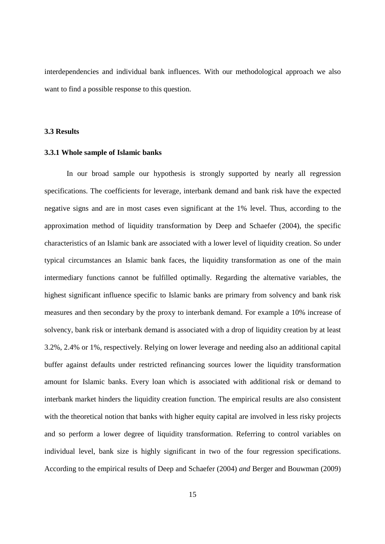interdependencies and individual bank influences. With our methodological approach we also want to find a possible response to this question.

## **3.3 Results**

### **3.3.1 Whole sample of Islamic banks**

In our broad sample our hypothesis is strongly supported by nearly all regression specifications. The coefficients for leverage, interbank demand and bank risk have the expected negative signs and are in most cases even significant at the 1% level. Thus, according to the approximation method of liquidity transformation by Deep and Schaefer (2004), the specific characteristics of an Islamic bank are associated with a lower level of liquidity creation. So under typical circumstances an Islamic bank faces, the liquidity transformation as one of the main intermediary functions cannot be fulfilled optimally. Regarding the alternative variables, the highest significant influence specific to Islamic banks are primary from solvency and bank risk measures and then secondary by the proxy to interbank demand. For example a 10% increase of solvency, bank risk or interbank demand is associated with a drop of liquidity creation by at least 3.2%, 2.4% or 1%, respectively. Relying on lower leverage and needing also an additional capital buffer against defaults under restricted refinancing sources lower the liquidity transformation amount for Islamic banks. Every loan which is associated with additional risk or demand to interbank market hinders the liquidity creation function. The empirical results are also consistent with the theoretical notion that banks with higher equity capital are involved in less risky projects and so perform a lower degree of liquidity transformation. Referring to control variables on individual level, bank size is highly significant in two of the four regression specifications. According to the empirical results of Deep and Schaefer (2004) *and* Berger and Bouwman (2009)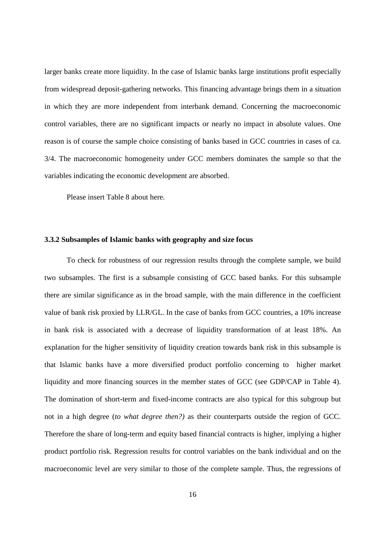larger banks create more liquidity. In the case of Islamic banks large institutions profit especially from widespread deposit-gathering networks. This financing advantage brings them in a situation in which they are more independent from interbank demand. Concerning the macroeconomic control variables, there are no significant impacts or nearly no impact in absolute values. One reason is of course the sample choice consisting of banks based in GCC countries in cases of ca. 3/4. The macroeconomic homogeneity under GCC members dominates the sample so that the variables indicating the economic development are absorbed.

Please insert Table 8 about here.

#### **3.3.2 Subsamples of Islamic banks with geography and size focus**

 To check for robustness of our regression results through the complete sample, we build two subsamples. The first is a subsample consisting of GCC based banks. For this subsample there are similar significance as in the broad sample, with the main difference in the coefficient value of bank risk proxied by LLR/GL. In the case of banks from GCC countries, a 10% increase in bank risk is associated with a decrease of liquidity transformation of at least 18%. An explanation for the higher sensitivity of liquidity creation towards bank risk in this subsample is that Islamic banks have a more diversified product portfolio concerning to higher market liquidity and more financing sources in the member states of GCC (see GDP/CAP in Table 4). The domination of short-term and fixed-income contracts are also typical for this subgroup but not in a high degree (*to what degree then?)* as their counterparts outside the region of GCC. Therefore the share of long-term and equity based financial contracts is higher, implying a higher product portfolio risk. Regression results for control variables on the bank individual and on the macroeconomic level are very similar to those of the complete sample. Thus, the regressions of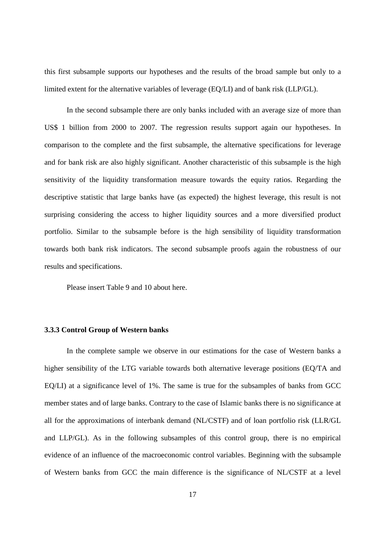this first subsample supports our hypotheses and the results of the broad sample but only to a limited extent for the alternative variables of leverage (EQ/LI) and of bank risk (LLP/GL).

 In the second subsample there are only banks included with an average size of more than US\$ 1 billion from 2000 to 2007. The regression results support again our hypotheses. In comparison to the complete and the first subsample, the alternative specifications for leverage and for bank risk are also highly significant. Another characteristic of this subsample is the high sensitivity of the liquidity transformation measure towards the equity ratios. Regarding the descriptive statistic that large banks have (as expected) the highest leverage, this result is not surprising considering the access to higher liquidity sources and a more diversified product portfolio. Similar to the subsample before is the high sensibility of liquidity transformation towards both bank risk indicators. The second subsample proofs again the robustness of our results and specifications.

Please insert Table 9 and 10 about here.

### **3.3.3 Control Group of Western banks**

In the complete sample we observe in our estimations for the case of Western banks a higher sensibility of the LTG variable towards both alternative leverage positions (EQ/TA and EQ/LI) at a significance level of 1%. The same is true for the subsamples of banks from GCC member states and of large banks. Contrary to the case of Islamic banks there is no significance at all for the approximations of interbank demand (NL/CSTF) and of loan portfolio risk (LLR/GL and LLP/GL). As in the following subsamples of this control group, there is no empirical evidence of an influence of the macroeconomic control variables. Beginning with the subsample of Western banks from GCC the main difference is the significance of NL/CSTF at a level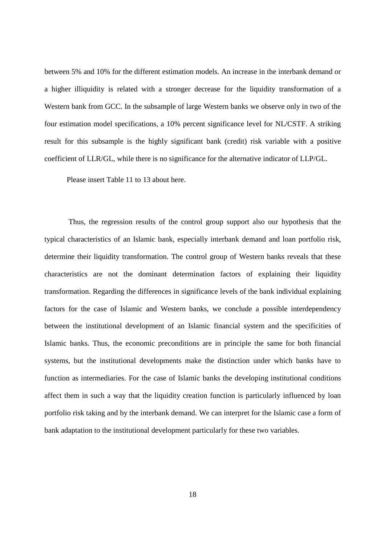between 5% and 10% for the different estimation models. An increase in the interbank demand or a higher illiquidity is related with a stronger decrease for the liquidity transformation of a Western bank from GCC. In the subsample of large Western banks we observe only in two of the four estimation model specifications, a 10% percent significance level for NL/CSTF. A striking result for this subsample is the highly significant bank (credit) risk variable with a positive coefficient of LLR/GL, while there is no significance for the alternative indicator of LLP/GL.

Please insert Table 11 to 13 about here.

Thus, the regression results of the control group support also our hypothesis that the typical characteristics of an Islamic bank, especially interbank demand and loan portfolio risk, determine their liquidity transformation. The control group of Western banks reveals that these characteristics are not the dominant determination factors of explaining their liquidity transformation. Regarding the differences in significance levels of the bank individual explaining factors for the case of Islamic and Western banks, we conclude a possible interdependency between the institutional development of an Islamic financial system and the specificities of Islamic banks. Thus, the economic preconditions are in principle the same for both financial systems, but the institutional developments make the distinction under which banks have to function as intermediaries. For the case of Islamic banks the developing institutional conditions affect them in such a way that the liquidity creation function is particularly influenced by loan portfolio risk taking and by the interbank demand. We can interpret for the Islamic case a form of bank adaptation to the institutional development particularly for these two variables.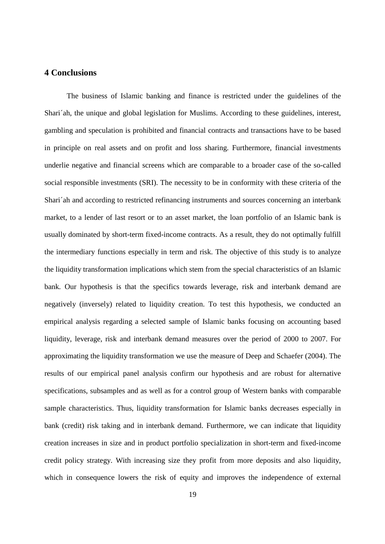## **4 Conclusions**

 The business of Islamic banking and finance is restricted under the guidelines of the Shari´ah, the unique and global legislation for Muslims. According to these guidelines, interest, gambling and speculation is prohibited and financial contracts and transactions have to be based in principle on real assets and on profit and loss sharing. Furthermore, financial investments underlie negative and financial screens which are comparable to a broader case of the so-called social responsible investments (SRI). The necessity to be in conformity with these criteria of the Shari´ah and according to restricted refinancing instruments and sources concerning an interbank market, to a lender of last resort or to an asset market, the loan portfolio of an Islamic bank is usually dominated by short-term fixed-income contracts. As a result, they do not optimally fulfill the intermediary functions especially in term and risk. The objective of this study is to analyze the liquidity transformation implications which stem from the special characteristics of an Islamic bank. Our hypothesis is that the specifics towards leverage, risk and interbank demand are negatively (inversely) related to liquidity creation. To test this hypothesis, we conducted an empirical analysis regarding a selected sample of Islamic banks focusing on accounting based liquidity, leverage, risk and interbank demand measures over the period of 2000 to 2007. For approximating the liquidity transformation we use the measure of Deep and Schaefer (2004). The results of our empirical panel analysis confirm our hypothesis and are robust for alternative specifications, subsamples and as well as for a control group of Western banks with comparable sample characteristics. Thus, liquidity transformation for Islamic banks decreases especially in bank (credit) risk taking and in interbank demand. Furthermore, we can indicate that liquidity creation increases in size and in product portfolio specialization in short-term and fixed-income credit policy strategy. With increasing size they profit from more deposits and also liquidity, which in consequence lowers the risk of equity and improves the independence of external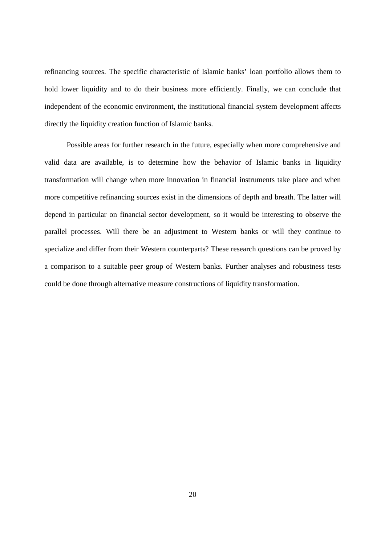refinancing sources. The specific characteristic of Islamic banks' loan portfolio allows them to hold lower liquidity and to do their business more efficiently. Finally, we can conclude that independent of the economic environment, the institutional financial system development affects directly the liquidity creation function of Islamic banks.

 Possible areas for further research in the future, especially when more comprehensive and valid data are available, is to determine how the behavior of Islamic banks in liquidity transformation will change when more innovation in financial instruments take place and when more competitive refinancing sources exist in the dimensions of depth and breath. The latter will depend in particular on financial sector development, so it would be interesting to observe the parallel processes. Will there be an adjustment to Western banks or will they continue to specialize and differ from their Western counterparts? These research questions can be proved by a comparison to a suitable peer group of Western banks. Further analyses and robustness tests could be done through alternative measure constructions of liquidity transformation.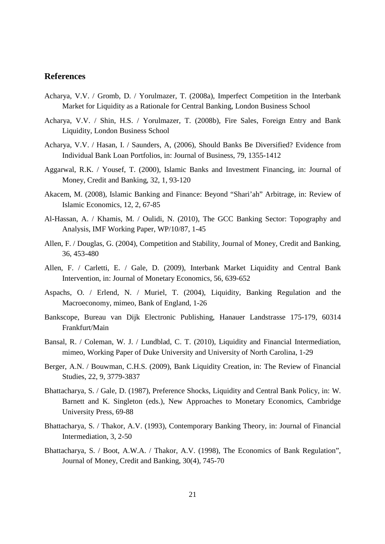## **References**

- Acharya, V.V. / Gromb, D. / Yorulmazer, T. (2008a), Imperfect Competition in the Interbank Market for Liquidity as a Rationale for Central Banking, London Business School
- Acharya, V.V. / Shin, H.S. / Yorulmazer, T. (2008b), Fire Sales, Foreign Entry and Bank Liquidity, London Business School
- Acharya, V.V. / Hasan, I. / Saunders, A, (2006), Should Banks Be Diversified? Evidence from Individual Bank Loan Portfolios, in: Journal of Business, 79, 1355-1412
- Aggarwal, R.K. / Yousef, T. (2000), Islamic Banks and Investment Financing, in: Journal of Money, Credit and Banking, 32, 1, 93-120
- Akacem, M. (2008), Islamic Banking and Finance: Beyond "Shari'ah" Arbitrage, in: Review of Islamic Economics, 12, 2, 67-85
- Al-Hassan, A. / Khamis, M. / Oulidi, N. (2010), The GCC Banking Sector: Topography and Analysis, IMF Working Paper, WP/10/87, 1-45
- Allen, F. / Douglas, G. (2004), Competition and Stability, Journal of Money, Credit and Banking, 36, 453-480
- Allen, F. / Carletti, E. / Gale, D. (2009), Interbank Market Liquidity and Central Bank Intervention, in: Journal of Monetary Economics, 56, 639-652
- Aspachs, O. / Erlend, N. / Muriel, T. (2004), Liquidity, Banking Regulation and the Macroeconomy, mimeo, Bank of England, 1-26
- Bankscope, Bureau van Dijk Electronic Publishing, Hanauer Landstrasse 175-179, 60314 Frankfurt/Main
- Bansal, R. / Coleman, W. J. / Lundblad, C. T. (2010), Liquidity and Financial Intermediation, mimeo, Working Paper of Duke University and University of North Carolina, 1-29
- Berger, A.N. / Bouwman, C.H.S. (2009), Bank Liquidity Creation, in: The Review of Financial Studies, 22, 9, 3779-3837
- Bhattacharya, S. / Gale, D. (1987), Preference Shocks, Liquidity and Central Bank Policy, in: W. Barnett and K. Singleton (eds.), New Approaches to Monetary Economics, Cambridge University Press, 69-88
- Bhattacharya, S. / Thakor, A.V. (1993), Contemporary Banking Theory, in: Journal of Financial Intermediation, 3, 2-50
- Bhattacharya, S. / Boot, A.W.A. / Thakor, A.V. (1998), The Economics of Bank Regulation", Journal of Money, Credit and Banking, 30(4), 745-70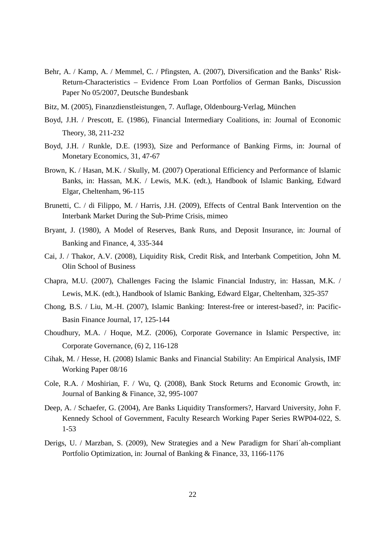- Behr, A. / Kamp, A. / Memmel, C. / Pfingsten, A. (2007), Diversification and the Banks' Risk-Return-Characteristics – Evidence From Loan Portfolios of German Banks, Discussion Paper No 05/2007, Deutsche Bundesbank
- Bitz, M. (2005), Finanzdienstleistungen, 7. Auflage, Oldenbourg-Verlag, München
- Boyd, J.H. / Prescott, E. (1986), Financial Intermediary Coalitions, in: Journal of Economic Theory, 38, 211-232
- Boyd, J.H. / Runkle, D.E. (1993), Size and Performance of Banking Firms, in: Journal of Monetary Economics, 31, 47-67
- Brown, K. / Hasan, M.K. / Skully, M. (2007) Operational Efficiency and Performance of Islamic Banks, in: Hassan, M.K. / Lewis, M.K. (edt.), Handbook of Islamic Banking, Edward Elgar, Cheltenham, 96-115
- Brunetti, C. / di Filippo, M. / Harris, J.H. (2009), Effects of Central Bank Intervention on the Interbank Market During the Sub-Prime Crisis, mimeo
- Bryant, J. (1980), A Model of Reserves, Bank Runs, and Deposit Insurance, in: Journal of Banking and Finance, 4, 335-344
- Cai, J. / Thakor, A.V. (2008), Liquidity Risk, Credit Risk, and Interbank Competition, John M. Olin School of Business
- Chapra, M.U. (2007), Challenges Facing the Islamic Financial Industry, in: Hassan, M.K. / Lewis, M.K. (edt.), Handbook of Islamic Banking, Edward Elgar, Cheltenham, 325-357
- Chong, B.S. / Liu, M.-H. (2007), Islamic Banking: Interest-free or interest-based?, in: Pacific-Basin Finance Journal, 17, 125-144
- Choudhury, M.A. / Hoque, M.Z. (2006), Corporate Governance in Islamic Perspective, in: Corporate Governance, (6) 2, 116-128
- Cihak, M. / Hesse, H. (2008) Islamic Banks and Financial Stability: An Empirical Analysis, IMF Working Paper 08/16
- Cole, R.A. / Moshirian, F. / Wu, Q. (2008), Bank Stock Returns and Economic Growth, in: Journal of Banking & Finance, 32, 995-1007
- Deep, A. / Schaefer, G. (2004), Are Banks Liquidity Transformers?, Harvard University, John F. Kennedy School of Government, Faculty Research Working Paper Series RWP04-022, S. 1-53
- Derigs, U. / Marzban, S. (2009), New Strategies and a New Paradigm for Shari´ah-compliant Portfolio Optimization, in: Journal of Banking & Finance, 33, 1166-1176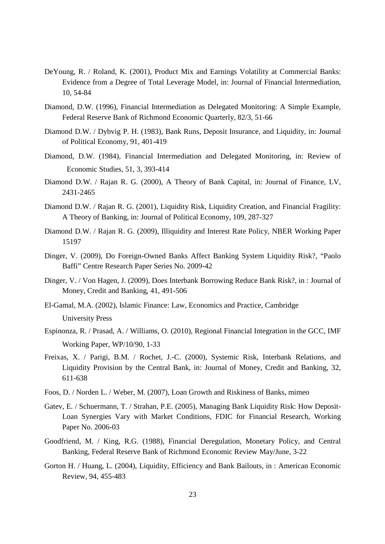- DeYoung, R. / Roland, K. (2001), Product Mix and Earnings Volatility at Commercial Banks: Evidence from a Degree of Total Leverage Model, in: Journal of Financial Intermediation, 10, 54-84
- Diamond, D.W. (1996), Financial Intermediation as Delegated Monitoring: A Simple Example, Federal Reserve Bank of Richmond Economic Quarterly, 82/3, 51-66
- Diamond D.W. / Dybyig P. H. (1983), Bank Runs, Deposit Insurance, and Liquidity, in: Journal of Political Economy, 91, 401-419
- Diamond, D.W. (1984), Financial Intermediation and Delegated Monitoring, in: Review of Economic Studies, 51, 3, 393-414
- Diamond D.W. / Rajan R. G. (2000), A Theory of Bank Capital, in: Journal of Finance, LV, 2431-2465
- Diamond D.W. / Rajan R. G. (2001), Liquidity Risk, Liquidity Creation, and Financial Fragility: A Theory of Banking, in: Journal of Political Economy, 109, 287-327
- Diamond D.W. / Rajan R. G. (2009), Illiquidity and Interest Rate Policy, NBER Working Paper 15197
- Dinger, V. (2009), Do Foreign-Owned Banks Affect Banking System Liquidity Risk?, "Paolo Baffi" Centre Research Paper Series No. 2009-42
- Dinger, V. / Von Hagen, J. (2009), Does Interbank Borrowing Reduce Bank Risk?, in : Journal of Money, Credit and Banking, 41, 491-506
- El-Gamal, M.A. (2002), Islamic Finance: Law, Economics and Practice, Cambridge University Press
- Espinonza, R. / Prasad, A. / Williams, O. (2010), Regional Financial Integration in the GCC, IMF Working Paper, WP/10/90, 1-33
- Freixas, X. / Parigi, B.M. / Rochet, J.-C. (2000), Systemic Risk, Interbank Relations, and Liquidity Provision by the Central Bank, in: Journal of Money, Credit and Banking, 32, 611-638
- Foos, D. / Norden L. / Weber, M. (2007), Loan Growth and Riskiness of Banks, mimeo
- Gatev, E. / Schuermann, T. / Strahan, P.E. (2005), Managing Bank Liquidity Risk: How Deposit-Loan Synergies Vary with Market Conditions, FDIC for Financial Research, Working Paper No. 2006-03
- Goodfriend, M. / King, R.G. (1988), Financial Deregulation, Monetary Policy, and Central Banking, Federal Reserve Bank of Richmond Economic Review May/June, 3-22
- Gorton H. / Huang, L. (2004), Liquidity, Efficiency and Bank Bailouts, in : American Economic Review, 94, 455-483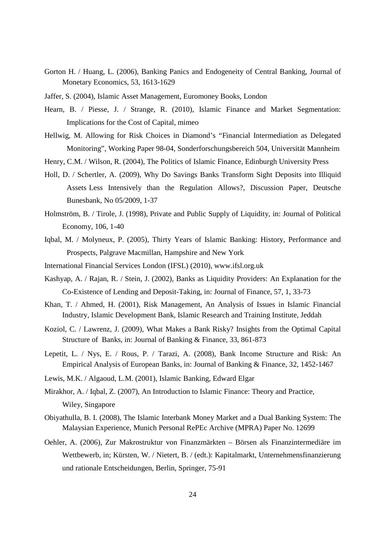- Gorton H. / Huang, L. (2006), Banking Panics and Endogeneity of Central Banking, Journal of Monetary Economics, 53, 1613-1629
- Jaffer, S. (2004), Islamic Asset Management, Euromoney Books, London
- Hearn, B. / Piesse, J. / Strange, R. (2010), Islamic Finance and Market Segmentation: Implications for the Cost of Capital, mimeo
- Hellwig, M. Allowing for Risk Choices in Diamond's "Financial Intermediation as Delegated Monitoring", Working Paper 98-04, Sonderforschungsbereich 504, Universität Mannheim
- Henry, C.M. / Wilson, R. (2004), The Politics of Islamic Finance, Edinburgh University Press
- Holl, D. / Schertler, A. (2009), Why Do Savings Banks Transform Sight Deposits into Illiquid Assets Less Intensively than the Regulation Allows?, Discussion Paper, Deutsche Bunesbank, No 05/2009, 1-37
- Holmström, B. / Tirole, J. (1998), Private and Public Supply of Liquidity, in: Journal of Political Economy, 106, 1-40
- Iqbal, M. / Molyneux, P. (2005), Thirty Years of Islamic Banking: History, Performance and Prospects, Palgrave Macmillan, Hampshire and New York
- International Financial Services London (IFSL) (2010), www.ifsl.org.uk
- Kashyap, A. / Rajan, R. / Stein, J. (2002), Banks as Liquidity Providers: An Explanation for the Co-Existence of Lending and Deposit-Taking, in: Journal of Finance, 57, 1, 33-73
- Khan, T. / Ahmed, H. (2001), Risk Management, An Analysis of Issues in Islamic Financial Industry, Islamic Development Bank, Islamic Research and Training Institute, Jeddah
- Koziol, C. / Lawrenz, J. (2009), What Makes a Bank Risky? Insights from the Optimal Capital Structure of Banks, in: Journal of Banking & Finance, 33, 861-873
- Lepetit, L. / Nys, E. / Rous, P. / Tarazi, A. (2008), Bank Income Structure and Risk: An Empirical Analysis of European Banks, in: Journal of Banking & Finance, 32, 1452-1467
- Lewis, M.K. / Algaoud, L.M. (2001), Islamic Banking, Edward Elgar
- Mirakhor, A. / Iqbal, Z. (2007), An Introduction to Islamic Finance: Theory and Practice, Wiley, Singapore
- Obiyathulla, B. I. (2008), The Islamic Interbank Money Market and a Dual Banking System: The Malaysian Experience, Munich Personal RePEc Archive (MPRA) Paper No. 12699
- Oehler, A. (2006), Zur Makrostruktur von Finanzmärkten Börsen als Finanzintermediäre im Wettbewerb, in; Kürsten, W. / Nietert, B. / (edt.): Kapitalmarkt, Unternehmensfinanzierung und rationale Entscheidungen, Berlin, Springer, 75-91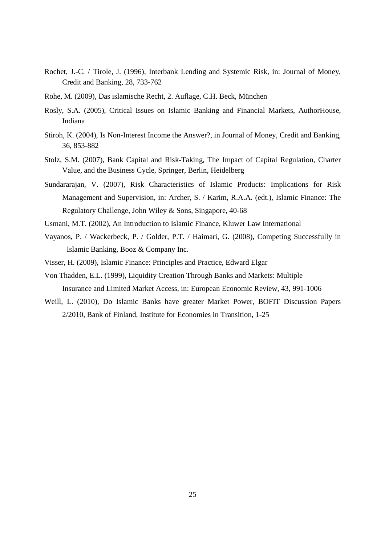- Rochet, J.-C. / Tirole, J. (1996), Interbank Lending and Systemic Risk, in: Journal of Money, Credit and Banking, 28, 733-762
- Rohe, M. (2009), Das islamische Recht, 2. Auflage, C.H. Beck, München
- Rosly, S.A. (2005), Critical Issues on Islamic Banking and Financial Markets, AuthorHouse, Indiana
- Stiroh, K. (2004), Is Non-Interest Income the Answer?, in Journal of Money, Credit and Banking, 36, 853-882
- Stolz, S.M. (2007), Bank Capital and Risk-Taking, The Impact of Capital Regulation, Charter Value, and the Business Cycle, Springer, Berlin, Heidelberg
- Sundararajan, V. (2007), Risk Characteristics of Islamic Products: Implications for Risk Management and Supervision, in: Archer, S. / Karim, R.A.A. (edt.), Islamic Finance: The Regulatory Challenge, John Wiley & Sons, Singapore, 40-68
- Usmani, M.T. (2002), An Introduction to Islamic Finance, Kluwer Law International
- Vayanos, P. / Wackerbeck, P. / Golder, P.T. / Haimari, G. (2008), Competing Successfully in Islamic Banking, Booz & Company Inc.
- Visser, H. (2009), Islamic Finance: Principles and Practice, Edward Elgar
- Von Thadden, E.L. (1999), Liquidity Creation Through Banks and Markets: Multiple Insurance and Limited Market Access, in: European Economic Review, 43, 991-1006
- Weill, L. (2010), Do Islamic Banks have greater Market Power, BOFIT Discussion Papers 2/2010, Bank of Finland, Institute for Economies in Transition, 1-25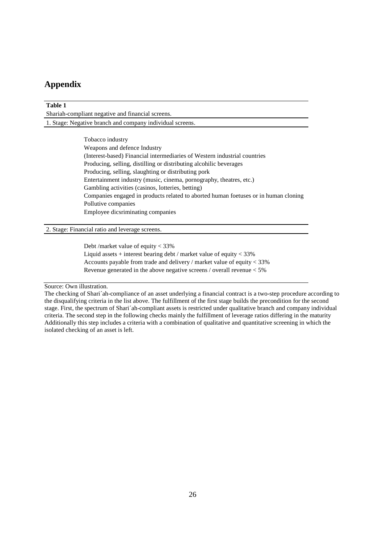# **Appendix**

| Table 1                                                                             |  |  |  |  |  |  |  |  |
|-------------------------------------------------------------------------------------|--|--|--|--|--|--|--|--|
| Shariah-compliant negative and financial screens.                                   |  |  |  |  |  |  |  |  |
| 1. Stage: Negative branch and company individual screens.                           |  |  |  |  |  |  |  |  |
|                                                                                     |  |  |  |  |  |  |  |  |
| Tobacco industry                                                                    |  |  |  |  |  |  |  |  |
| Weapons and defence Industry                                                        |  |  |  |  |  |  |  |  |
| (Interest-based) Financial intermediaries of Western industrial countries           |  |  |  |  |  |  |  |  |
| Producing, selling, distilling or distributing alcohilic beverages                  |  |  |  |  |  |  |  |  |
| Producing, selling, slaughting or distributing pork                                 |  |  |  |  |  |  |  |  |
| Entertainment industry (music, cinema, pornography, theatres, etc.)                 |  |  |  |  |  |  |  |  |
| Gambling activities (casinos, lotteries, betting)                                   |  |  |  |  |  |  |  |  |
| Companies engaged in products related to aborted human foetuses or in human cloning |  |  |  |  |  |  |  |  |
| Pollutive companies                                                                 |  |  |  |  |  |  |  |  |
| Employee dicsriminating companies                                                   |  |  |  |  |  |  |  |  |
|                                                                                     |  |  |  |  |  |  |  |  |
| 2. Stage: Financial ratio and leverage screens.                                     |  |  |  |  |  |  |  |  |

 Debt /market value of equity < 33% Liquid assets  $+$  interest bearing debt / market value of equity  $<$  33% Accounts payable from trade and delivery / market value of equity < 33% Revenue generated in the above negative screens / overall revenue < 5%

Source: Own illustration.

The checking of Shari´ah-compliance of an asset underlying a financial contract is a two-step procedure according to the disqualifying criteria in the list above. The fulfillment of the first stage builds the precondition for the second stage. First, the spectrum of Shari´ah-compliant assets is restricted under qualitative branch and company individual criteria. The second step in the following checks mainly the fulfillment of leverage ratios differing in the maturity Additionally this step includes a criteria with a combination of qualitative and quantitative screening in which the isolated checking of an asset is left.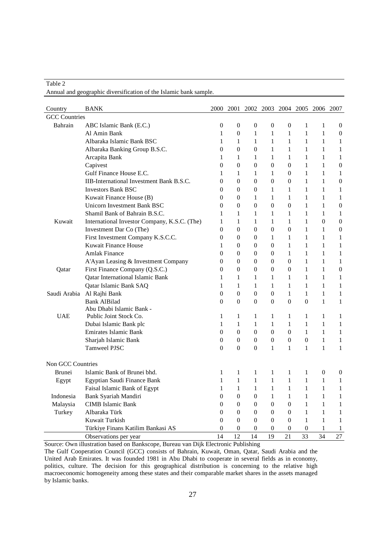|                      | Annual and geographic diversification of the Islamic bank sample. |                  |                  |                               |                  |                  |                  |                  |                  |
|----------------------|-------------------------------------------------------------------|------------------|------------------|-------------------------------|------------------|------------------|------------------|------------------|------------------|
|                      |                                                                   |                  |                  |                               |                  |                  |                  |                  |                  |
| Country              | <b>BANK</b>                                                       | 2000             | 2001             | 2002 2003 2004 2005 2006 2007 |                  |                  |                  |                  |                  |
| <b>GCC</b> Countries |                                                                   |                  |                  |                               |                  |                  |                  |                  |                  |
| Bahrain              | ABC Islamic Bank (E.C.)                                           | 0                | $\boldsymbol{0}$ | $\mathbf{0}$                  | $\overline{0}$   | $\overline{0}$   | 1                | 1                | $\mathbf{0}$     |
|                      | Al Amin Bank                                                      | 1                | 0                | 1                             | 1                | 1                | $\mathbf{1}$     | 1                | $\mathbf{0}$     |
|                      | Albaraka Islamic Bank BSC                                         | 1                | 1                | 1                             | 1                | 1                | 1                | 1                | 1                |
|                      | Albaraka Banking Group B.S.C.                                     | 0                | $\overline{0}$   | $\overline{0}$                | 1                | 1                | 1                | 1                | 1                |
|                      | Arcapita Bank                                                     | 1                | 1                | 1                             | 1                | 1                | 1                | 1                | 1                |
|                      | Capivest                                                          | $\overline{0}$   | $\overline{0}$   | $\overline{0}$                | $\overline{0}$   | $\Omega$         | 1                | 1                | $\boldsymbol{0}$ |
|                      | Gulf Finance House E.C.                                           | 1                | 1                | 1                             | 1                | $\Omega$         | 1                | 1                | 1                |
|                      | IIB-International Investment Bank B.S.C.                          | 0                | $\overline{0}$   | $\overline{0}$                | 0                | 0                | 1                | 1                | $\boldsymbol{0}$ |
|                      | <b>Investors Bank BSC</b>                                         | $\Omega$         | 0                | $\overline{0}$                | $\mathbf{1}$     | 1                | $\mathbf{1}$     | 1                | 1                |
|                      | Kuwait Finance House (B)                                          | $\Omega$         | $\overline{0}$   | $\mathbf{1}$                  | 1                | $\mathbf{1}$     | 1                | 1                | 1                |
|                      | Unicorn Investment Bank BSC                                       | 0                | 0                | $\overline{0}$                | $\overline{0}$   | $\overline{0}$   | 1                | 1                | $\boldsymbol{0}$ |
|                      | Shamil Bank of Bahrain B.S.C.                                     | 1                | 1                | $\mathbf{1}$                  | $\mathbf{1}$     | $\mathbf{1}$     | $\mathbf{1}$     | 1                | 1                |
| Kuwait               | International Investor Company, K.S.C. (The)                      | 1                | $\mathbf{1}$     | $\mathbf{1}$                  | $\mathbf{1}$     | $\mathbf{1}$     | $\mathbf{1}$     | $\theta$         | $\boldsymbol{0}$ |
|                      | Investment Dar Co (The)                                           | 0                | $\boldsymbol{0}$ | $\overline{0}$                | $\boldsymbol{0}$ | $\boldsymbol{0}$ | 1                | 1                | $\boldsymbol{0}$ |
|                      | First Investment Company K.S.C.C.                                 | 0                | $\boldsymbol{0}$ | $\overline{0}$                | 1                | 1                | 1                | 1                | 1                |
|                      | Kuwait Finance House                                              | 1                | $\overline{0}$   | $\overline{0}$                | $\overline{0}$   | 1                | 1                | 1                | 1                |
|                      | <b>Amlak Finance</b>                                              | 0                | $\overline{0}$   | $\overline{0}$                | 0                | 1                | 1                | 1                | 1                |
|                      | A'Ayan Leasing & Investment Company                               | 0                | 0                | 0                             | 0                | $\overline{0}$   | 1                | 1                | 1                |
| Qatar                | First Finance Company (Q.S.C.)                                    | 0                | $\overline{0}$   | $\overline{0}$                | $\overline{0}$   | 0                | $\mathbf{1}$     | 1                | $\boldsymbol{0}$ |
|                      | <b>Qatar International Islamic Bank</b>                           | 1                | 1                | 1                             | 1                | 1                | 1                | $\mathbf{1}$     | 1                |
|                      | Qatar Islamic Bank SAQ                                            | 1                | 1                | 1                             | 1                | 1                | 1                | 1                | 1                |
|                      | Saudi Arabia Al Rajhi Bank                                        | $\overline{0}$   | $\boldsymbol{0}$ | $\overline{0}$                | 0                | 1                | 1                | $\mathbf{1}$     | 1                |
|                      | <b>Bank AlBilad</b>                                               | $\overline{0}$   | $\overline{0}$   | $\overline{0}$                | $\Omega$         | $\Omega$         | $\boldsymbol{0}$ | 1                | 1                |
|                      | Abu Dhabi Islamic Bank -                                          |                  |                  |                               |                  |                  |                  |                  |                  |
| <b>UAE</b>           | Public Joint Stock Co.                                            | 1                | 1                | 1                             | 1                | 1                | 1                | 1                | 1                |
|                      | Dubai Islamic Bank plc                                            | 1                | $\mathbf{1}$     | 1                             | 1                | $\mathbf{1}$     | 1                | $\mathbf{1}$     | $\mathbf{1}$     |
|                      | Emirates Islamic Bank                                             | $\overline{0}$   | $\overline{0}$   | $\overline{0}$                | $\overline{0}$   | $\overline{0}$   | 1                | 1                | $\mathbf{1}$     |
|                      | Sharjah Islamic Bank                                              | 0                | $\boldsymbol{0}$ | 0                             | $\theta$         | 0                | 0                | 1                | $\mathbf{1}$     |
|                      | Tamweel PJSC                                                      | $\overline{0}$   | $\overline{0}$   | $\overline{0}$                | 1                | $\mathbf{1}$     | $\mathbf{1}$     | 1                | 1                |
| Non GCC Countries    |                                                                   |                  |                  |                               |                  |                  |                  |                  |                  |
| <b>Brunei</b>        | Islamic Bank of Brunei bhd.                                       | 1                | $\mathbf{1}$     | 1                             | $\mathbf{1}$     | $\mathbf{1}$     | $\mathbf{1}$     | $\boldsymbol{0}$ | 0                |
|                      | Egypt Egyptian Saudi Finance Bank                                 | $\,1\,$          | $1 -$            | 1                             | $\overline{1}$   | 1                | $\mathbf{1}$     | $\overline{1}$   | $\mathbf{1}$     |
|                      | Faisal Islamic Bank of Egypt                                      | $\,1\,$          | $\mathbf{1}$     | 1                             | 1                | $\mathbf{1}$     | 1                | $\mathbf{1}$     | $\mathbf{1}$     |
| Indonesia            | Bank Syariah Mandiri                                              | $\boldsymbol{0}$ | $\boldsymbol{0}$ | $\boldsymbol{0}$              | $\mathbf{1}$     | $\mathbf{1}$     | $\mathbf{1}$     | $\mathbf{1}$     | 1                |
| Malaysia             | <b>CIMB</b> Islamic Bank                                          | 0                | $\boldsymbol{0}$ | $\overline{0}$                | $\boldsymbol{0}$ | 0                | $\mathbf{1}$     | 1                | 1                |
| Turkey               | Albaraka Türk                                                     | $\overline{0}$   | $\boldsymbol{0}$ | $\overline{0}$                | $\overline{0}$   | 0                | $\mathbf{1}$     | 1                | 1                |
|                      | Kuwait Turkish                                                    | $\boldsymbol{0}$ | $\boldsymbol{0}$ | $\overline{0}$                | $\overline{0}$   | $\overline{0}$   | $\mathbf{1}$     | 1                | 1                |
|                      | Türkiye Finans Katilim Bankasi AS                                 | $\boldsymbol{0}$ | $\boldsymbol{0}$ | $\boldsymbol{0}$              | $\mathbf{0}$     | $\mathbf{0}$     | $\mathbf{0}$     | 1                | 1                |
|                      | Observations per year                                             | 14               | 12               | 14                            | 19               | 21               | 33               | 34               | 27               |

Source: Own illustration based on Bankscope, Bureau van Dijk Electronic Publishing

Table 2

The Gulf Cooperation Council (GCC) consists of Bahrain, Kuwait, Oman, Qatar, Saudi Arabia and the United Arab Emirates. It was founded 1981 in Abu Dhabi to cooperate in several fields as in economy, politics, culture. The decision for this geographical distribution is concerning to the relative high macroeconomic homogeneity among these states and their comparable market shares in the assets managed by Islamic banks.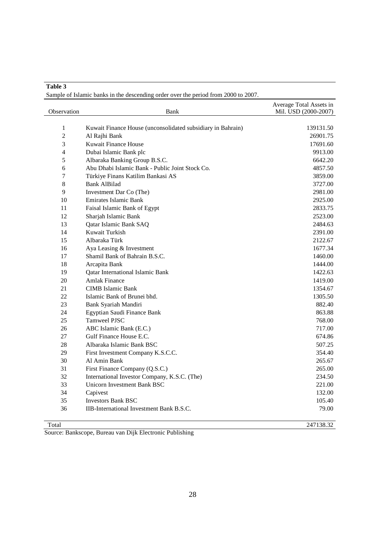**Table 3** 

Sample of Islamic banks in the descending order over the period from 2000 to 2007.

| Observation    | Bank                                                        | Average Total Assets in<br>Mil. USD (2000-2007) |
|----------------|-------------------------------------------------------------|-------------------------------------------------|
|                |                                                             |                                                 |
| $\mathbf{1}$   | Kuwait Finance House (unconsolidated subsidiary in Bahrain) | 139131.50                                       |
| $\overline{2}$ | Al Rajhi Bank                                               | 26901.75                                        |
| 3              | Kuwait Finance House                                        | 17691.60                                        |
| $\overline{4}$ | Dubai Islamic Bank plc                                      | 9913.00                                         |
| 5              | Albaraka Banking Group B.S.C.                               | 6642.20                                         |
| 6              | Abu Dhabi Islamic Bank - Public Joint Stock Co.             | 4857.50                                         |
| $\overline{7}$ | Türkiye Finans Katilim Bankasi AS                           | 3859.00                                         |
| 8              | <b>Bank AlBilad</b>                                         | 3727.00                                         |
| 9              | Investment Dar Co (The)                                     | 2981.00                                         |
| 10             | <b>Emirates Islamic Bank</b>                                | 2925.00                                         |
| 11             | Faisal Islamic Bank of Egypt                                | 2833.75                                         |
| 12             | Sharjah Islamic Bank                                        | 2523.00                                         |
| 13             | Qatar Islamic Bank SAQ                                      | 2484.63                                         |
| 14             | Kuwait Turkish                                              | 2391.00                                         |
| 15             | Albaraka Türk                                               | 2122.67                                         |
| 16             | Aya Leasing & Investment                                    | 1677.34                                         |
| 17             | Shamil Bank of Bahrain B.S.C.                               | 1460.00                                         |
| 18             | Arcapita Bank                                               | 1444.00                                         |
| 19             | Qatar International Islamic Bank                            | 1422.63                                         |
| 20             | Amlak Finance                                               | 1419.00                                         |
| 21             | <b>CIMB</b> Islamic Bank                                    | 1354.67                                         |
| 22             | Islamic Bank of Brunei bhd.                                 | 1305.50                                         |
| 23             | Bank Syariah Mandiri                                        | 882.40                                          |
| 24             | Egyptian Saudi Finance Bank                                 | 863.88                                          |
| 25             | <b>Tamweel PJSC</b>                                         | 768.00                                          |
| 26             | ABC Islamic Bank (E.C.)                                     | 717.00                                          |
| 27             | Gulf Finance House E.C.                                     | 674.86                                          |
| 28             | Albaraka Islamic Bank BSC                                   | 507.25                                          |
| 29             | First Investment Company K.S.C.C.                           | 354.40                                          |
| 30             | Al Amin Bank                                                | 265.67                                          |
| 31             | First Finance Company (Q.S.C.)                              | 265.00                                          |
| 32             | International Investor Company, K.S.C. (The)                | 234.50                                          |
| 33             | Unicorn Investment Bank BSC                                 | 221.00                                          |
| 34             | Capivest                                                    | 132.00                                          |
| 35             | <b>Investors Bank BSC</b>                                   | 105.40                                          |
| 36             | IIB-International Investment Bank B.S.C.                    | 79.00                                           |

Total 247138.32

Source: Bankscope, Bureau van Dijk Electronic Publishing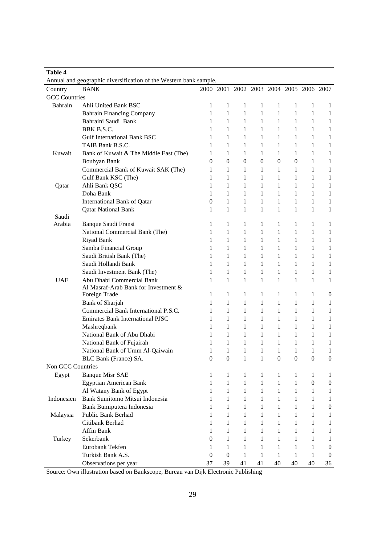| Table 4              |                                                                   |                  |                  |                |                                         |                  |                  |                  |                  |
|----------------------|-------------------------------------------------------------------|------------------|------------------|----------------|-----------------------------------------|------------------|------------------|------------------|------------------|
|                      | Annual and geographic diversification of the Western bank sample. |                  |                  |                |                                         |                  |                  |                  |                  |
| Country              | <b>BANK</b>                                                       |                  |                  |                | 2000 2001 2002 2003 2004 2005 2006 2007 |                  |                  |                  |                  |
| <b>GCC</b> Countries |                                                                   |                  |                  |                |                                         |                  |                  |                  |                  |
| Bahrain              | Ahli United Bank BSC                                              | 1                | $\mathbf{1}$     | 1              | 1                                       | 1                | 1                | 1                | 1                |
|                      | <b>Bahrain Financing Company</b>                                  | $\mathbf 1$      | $\mathbf{1}$     | 1              | 1                                       | $\mathbf{1}$     | 1                | $\mathbf{1}$     | 1                |
|                      | Bahraini Saudi Bank                                               | 1                | 1                | 1              | 1                                       | 1                | 1                | 1                | 1                |
|                      | BBK B.S.C.                                                        | 1                | 1                | 1              | 1                                       | 1                | 1                | 1                | 1                |
|                      | <b>Gulf International Bank BSC</b>                                | 1                | 1                | 1              | 1                                       | $\mathbf{1}$     | 1                | 1                | 1                |
|                      | TAIB Bank B.S.C.                                                  | 1                | $\mathbf{1}$     | 1              | 1                                       | 1                | 1                | 1                | 1                |
| Kuwait               | Bank of Kuwait & The Middle East (The)                            | 1                | 1                | 1              | 1                                       | 1                | 1                | 1                | 1                |
|                      | Boubyan Bank                                                      | $\overline{0}$   | 0                | $\overline{0}$ | $\overline{0}$                          | $\boldsymbol{0}$ | $\overline{0}$   | 1                | 1                |
|                      | Commercial Bank of Kuwait SAK (The)                               | 1                | 1                | 1              | 1                                       | 1                | 1                | $\mathbf{1}$     | 1                |
|                      | Gulf Bank KSC (The)                                               | 1                | $\mathbf{1}$     | 1              | 1                                       | $\mathbf{1}$     | 1                | $\mathbf{1}$     | 1                |
| Qatar                | Ahli Bank QSC                                                     | 1                | 1                | 1              | 1                                       | 1                | 1                | 1                | 1                |
|                      | Doha Bank                                                         | 1                | 1                | 1              | 1                                       | 1                | 1                | 1                | 1                |
|                      | <b>International Bank of Qatar</b>                                | $\overline{0}$   | $\mathbf{1}$     | $\mathbf{1}$   | 1                                       | 1                | 1                | 1                | 1                |
|                      | <b>Qatar National Bank</b>                                        | 1                | $\mathbf{1}$     | $\mathbf{1}$   | 1                                       | 1                | 1                | 1                | 1                |
| Saudi                |                                                                   |                  |                  |                |                                         |                  |                  |                  |                  |
| Arabia               | Banque Saudi Fransi                                               | 1                | 1                | 1              | 1                                       | 1                | 1                | 1                | 1                |
|                      | National Commercial Bank (The)                                    | 1                | $\mathbf{1}$     | 1              | 1                                       | 1                | 1                | 1                | 1                |
|                      | Riyad Bank                                                        | 1                | $\mathbf{1}$     | 1              | 1                                       | 1                | 1                | $\mathbf{1}$     | 1                |
|                      | Samba Financial Group                                             | 1                | $\mathbf{1}$     | 1              | 1                                       | $\mathbf{1}$     | 1                | $\mathbf{1}$     | 1                |
|                      | Saudi British Bank (The)                                          | 1                | 1                | 1              | 1                                       | 1                | 1                | 1                | 1                |
|                      | Saudi Hollandi Bank                                               | 1                | 1                | 1              | 1                                       | 1                | 1                | $\mathbf{1}$     | 1                |
|                      | Saudi Investment Bank (The)                                       | 1                | $\mathbf{1}$     | 1              | $\mathbf{1}$                            | 1                | 1                | $\mathbf{1}$     | $\mathbf{1}$     |
| <b>UAE</b>           | Abu Dhabi Commercial Bank                                         | 1                | $\mathbf{1}$     | $\mathbf{1}$   | $\mathbf{1}$                            | 1                | $\mathbf{1}$     | $\mathbf{1}$     | 1                |
|                      | Al Masraf-Arab Bank for Investment &                              |                  |                  |                |                                         |                  |                  |                  |                  |
|                      | Foreign Trade                                                     | 1                | $\mathbf{1}$     | 1              | 1                                       | 1                | 1                | 1                | $\mathbf{0}$     |
|                      | Bank of Sharjah                                                   | 1                | 1                | 1              | 1                                       | 1                | 1                | 1                | 1                |
|                      | Commercial Bank International P.S.C.                              | 1                | 1                | 1              | 1                                       | 1                | 1                | $\mathbf{1}$     | 1                |
|                      | <b>Emirates Bank International PJSC</b>                           | 1                | 1                | 1              | 1                                       | 1                | 1                | 1                | $\mathbf{1}$     |
|                      | Mashreqbank                                                       | 1                | 1                | 1              | $\mathbf{1}$                            | 1                | 1                | 1                | $\mathbf{1}$     |
|                      | National Bank of Abu Dhabi                                        | 1                | 1                | 1              | 1                                       | 1                | 1                | 1                | 1                |
|                      | National Bank of Fujairah                                         | 1                | 1                | 1              | 1                                       | 1                | 1                | 1                | 1                |
|                      | National Bank of Umm Al-Qaiwain                                   | 1                | $\mathbf{1}$     | $\mathbf{1}$   | $\mathbf{1}$                            | $\mathbf{1}$     | $\mathbf{1}$     | $\mathbf{1}$     | 1                |
|                      | BLC Bank (France) SA.                                             | $\boldsymbol{0}$ | $\boldsymbol{0}$ | $\mathbf{1}$   | $\mathbf{1}$                            | $\boldsymbol{0}$ | $\boldsymbol{0}$ | $\Omega$         | $\theta$         |
| Non GCC Countries    |                                                                   |                  |                  |                |                                         |                  |                  |                  |                  |
| Egypt                | <b>Banque Misr SAE</b>                                            | 1                | $\mathbf{1}$     | 1              | 1                                       | $\mathbf{1}$     | 1                | 1                | 1                |
|                      | Egyptian American Bank                                            | $\mathbf{1}$     | $\mathbf{1}$     | $\mathbf{1}$   | $\mathbf{1}$                            | $\mathbf{1}$     | $\mathbf{1}$     | $\boldsymbol{0}$ | $\boldsymbol{0}$ |
|                      | Al Watany Bank of Egypt                                           | 1                | $\mathbf{1}$     | $\mathbf{1}$   | $\mathbf{1}$                            | $\mathbf{1}$     | 1                | $\mathbf{1}$     | 1                |
| Indonesien           | Bank Sumitomo Mitsui Indonesia                                    | 1                | $\mathbf{1}$     | $\mathbf{1}$   | 1                                       | $\mathbf{1}$     | 1                | 1                | 1                |
|                      | Bank Bumiputera Indonesia                                         | 1                | $\mathbf{1}$     | 1              | 1                                       | $\mathbf{1}$     | 1                | 1                | $\boldsymbol{0}$ |
| Malaysia             | Public Bank Berhad                                                | 1                | $\mathbf{1}$     | $\mathbf{1}$   | $\mathbf{1}$                            | $\mathbf{1}$     | $\mathbf{1}$     | 1                | 1                |
|                      | Citibank Berhad                                                   | 1                | 1                | 1              | 1                                       | 1                | 1                | 1                | 1                |
|                      | Affin Bank                                                        | 1                | $\mathbf{1}$     | 1              | 1                                       | $\mathbf{1}$     | 1                | 1                | 1                |
| Turkey               | Sekerbank                                                         | 0                | $\mathbf{1}$     | 1              | $\mathbf{1}$                            | $\mathbf{1}$     | 1                | 1                | 1                |
|                      | Eurobank Tekfen                                                   | 1                | $\mathbf{1}$     | 1              | $\mathbf{1}$                            | $\mathbf{1}$     | 1                | 1                | $\boldsymbol{0}$ |
|                      | Turkish Bank A.S.                                                 | $\boldsymbol{0}$ | $\boldsymbol{0}$ | 1              | 1                                       | $\mathbf{1}$     | 1                | $\mathbf{1}$     | $\boldsymbol{0}$ |
|                      | Observations per year                                             | 37               | 39               | 41             | 41                                      | 40               | 40               | 40               | 36               |

Source: Own illustration based on Bankscope, Bureau van Dijk Electronic Publishing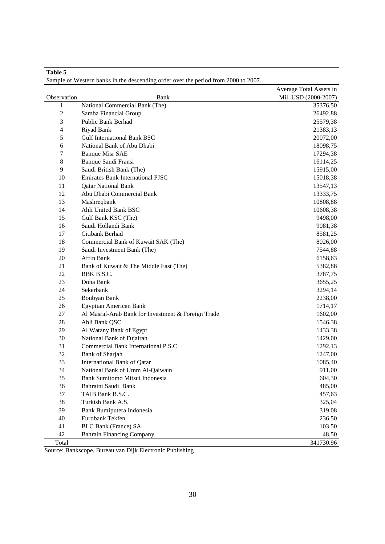|                         |                                                    | Average Total Assets in |
|-------------------------|----------------------------------------------------|-------------------------|
| Observation             | Bank                                               | Mil. USD (2000-2007)    |
| $\mathbf{1}$            | National Commercial Bank (The)                     | 35376,50                |
| $\sqrt{2}$              | Samba Financial Group                              | 26492,88                |
| 3                       | Public Bank Berhad                                 | 25579,38                |
| $\overline{\mathbf{4}}$ | Riyad Bank                                         | 21383,13                |
| 5                       | <b>Gulf International Bank BSC</b>                 | 20072,00                |
| 6                       | National Bank of Abu Dhabi                         | 18098,75                |
| 7                       | <b>Banque Misr SAE</b>                             | 17294,38                |
| $8\,$                   | Banque Saudi Fransi                                | 16114,25                |
| 9                       | Saudi British Bank (The)                           | 15915,00                |
| 10                      | <b>Emirates Bank International PJSC</b>            | 15018,38                |
| 11                      | <b>Qatar National Bank</b>                         | 13547,13                |
| 12                      | Abu Dhabi Commercial Bank                          | 13333,75                |
| 13                      | Mashreqbank                                        | 10808,88                |
| 14                      | Ahli United Bank BSC                               | 10608,38                |
| 15                      | Gulf Bank KSC (The)                                | 9498,00                 |
| 16                      | Saudi Hollandi Bank                                | 9081,38                 |
| 17                      | Citibank Berhad                                    | 8581,25                 |
| 18                      | Commercial Bank of Kuwait SAK (The)                | 8026,00                 |
| 19                      | Saudi Investment Bank (The)                        | 7544,88                 |
| 20                      | Affin Bank                                         | 6158,63                 |
| 21                      | Bank of Kuwait & The Middle East (The)             | 5382,88                 |
| 22                      | BBK B.S.C.                                         | 3787,75                 |
| 23                      | Doha Bank                                          | 3655,25                 |
| 24                      | Sekerbank                                          | 3294,14                 |
| 25                      | Boubyan Bank                                       | 2238,00                 |
| 26                      | Egyptian American Bank                             | 1714,17                 |
| 27                      | Al Masraf-Arab Bank for Investment & Foreign Trade | 1602,00                 |
| 28                      | Ahli Bank QSC                                      | 1546,38                 |
| 29                      | Al Watany Bank of Egypt                            | 1433,38                 |
| 30                      | National Bank of Fujairah                          | 1429,00                 |
| 31                      | Commercial Bank International P.S.C.               | 1292,13                 |
| 32                      | <b>Bank of Sharjah</b>                             | 1247,00                 |
| 33                      | <b>International Bank of Qatar</b>                 | 1085,40                 |
| 34                      | National Bank of Umm Al-Qaiwain                    | 911,00                  |
| 35                      | Bank Sumitomo Mitsui Indonesia                     | 604,30                  |
| 36                      | Bahraini Saudi Bank                                | 485,00                  |
| 37                      | TAIB Bank B.S.C.                                   | 457,63                  |
| 38                      | Turkish Bank A.S.                                  | 325,04                  |
| 39                      | Bank Bumiputera Indonesia                          | 319,08                  |
| 40                      | Eurobank Tekfen                                    | 236,50                  |
| 41                      | BLC Bank (France) SA.                              | 103,50                  |
| 42                      | <b>Bahrain Financing Company</b>                   | 48,50                   |
| Total                   |                                                    | 341730.96               |

Sample of Western banks in the descending order over the period from 2000 to 2007.

**Table 5** 

Source: Bankscope, Bureau van Dijk Electronic Publishing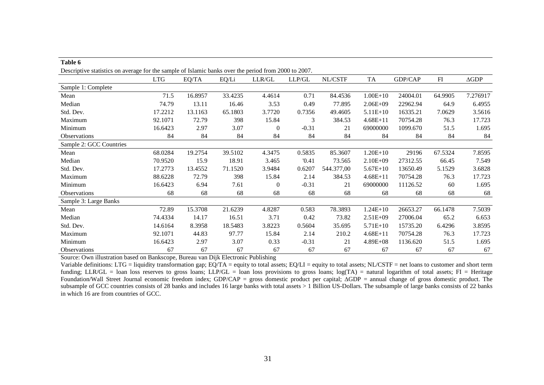| Descriptive statistics on average for the sample of Islamic banks over the period from 2000 to 2007. |            |         |         |              |          |            |              |          |            |                 |
|------------------------------------------------------------------------------------------------------|------------|---------|---------|--------------|----------|------------|--------------|----------|------------|-----------------|
|                                                                                                      | <b>LTG</b> | EQ/TA   | EQ/Li   | LLR/GL       | $LLP/GL$ | NL/CSTF    | <b>TA</b>    | GDP/CAP  | ${\rm FI}$ | $\triangle$ GDP |
| Sample 1: Complete                                                                                   |            |         |         |              |          |            |              |          |            |                 |
| Mean                                                                                                 | 71.5       | 16.8957 | 33.4235 | 4.4614       | 0.71     | 84.4536    | $1.00E + 10$ | 24004.01 | 64.9905    | 7.276917        |
| Median                                                                                               | 74.79      | 13.11   | 16.46   | 3.53         | 0.49     | 77.895     | $2.06E + 09$ | 22962.94 | 64.9       | 6.4955          |
| Std. Dev.                                                                                            | 17.2212    | 13.1163 | 65.1803 | 3.7720       | 0.7356   | 49.4605    | $5.11E+10$   | 16335.21 | 7.0629     | 3.5616          |
| Maximum                                                                                              | 92.1071    | 72.79   | 398     | 15.84        | 3        | 384.53     | $4.68E + 11$ | 70754.28 | 76.3       | 17.723          |
| Minimum                                                                                              | 16.6423    | 2.97    | 3.07    | $\mathbf{0}$ | $-0.31$  | 21         | 69000000     | 1099.670 | 51.5       | 1.695           |
| <b>Observations</b>                                                                                  | 84         | 84      | 84      | 84           | 84       | 84         | 84           | 84       | 84         | 84              |
| Sample 2: GCC Countries                                                                              |            |         |         |              |          |            |              |          |            |                 |
| Mean                                                                                                 | 68.0284    | 19.2754 | 39.5102 | 4.3475       | 0.5835   | 85.3607    | $1.20E + 10$ | 29196    | 67.5324    | 7.8595          |
| Median                                                                                               | 70.9520    | 15.9    | 18.91   | 3.465        | '0.41    | 73.565     | $2.10E + 09$ | 27312.55 | 66.45      | 7.549           |
| Std. Dev.                                                                                            | 17.2773    | 13.4552 | 71.1520 | 3.9484       | 0.6207   | 544.377,00 | $5.67E+10$   | 13650.49 | 5.1529     | 3.6828          |
| Maximum                                                                                              | 88.6228    | 72.79   | 398     | 15.84        | 2.14     | 384.53     | $4.68E + 11$ | 70754.28 | 76.3       | 17.723          |
| Minimum                                                                                              | 16.6423    | 6.94    | 7.61    | $\Omega$     | $-0.31$  | 21         | 69000000     | 11126.52 | 60         | 1.695           |
| <b>Observations</b>                                                                                  | 68         | 68      | 68      | 68           | 68       | 68         | 68           | 68       | 68         | 68              |
| Sample 3: Large Banks                                                                                |            |         |         |              |          |            |              |          |            |                 |
| Mean                                                                                                 | 72.89      | 15.3708 | 21.6239 | 4.8287       | 0.583    | 78.3893    | $1.24E+10$   | 26653.27 | 66.1478    | 7.5039          |
| Median                                                                                               | 74.4334    | 14.17   | 16.51   | 3.71         | 0.42     | 73.82      | $2.51E+09$   | 27006.04 | 65.2       | 6.653           |
| Std. Dev.                                                                                            | 14.6164    | 8.3958  | 18.5483 | 3.8223       | 0.5604   | 35.695     | $5.71E+10$   | 15735.20 | 6.4296     | 3.8595          |
| Maximum                                                                                              | 92.1071    | 44.83   | 97.77   | 15.84        | 2.14     | 210.2      | $4.68E + 11$ | 70754.28 | 76.3       | 17.723          |
| Minimum                                                                                              | 16.6423    | 2.97    | 3.07    | 0.33         | $-0.31$  | 21         | 4.89E+08     | 1136.620 | 51.5       | 1.695           |
| <b>Observations</b>                                                                                  | 67         | 67      | 67      | 67           | 67       | 67         | 67           | 67       | 67         | 67              |

Source: Own illustration based on Bankscope, Bureau van Dijk Electronic Publishing

**Table 6** 

Variable definitions: LTG = liquidity transformation gap; EQ/TA = equity to total assets; EQ/LI = equity to total assets; NL/CSTF = net loans to customer and short term funding; LLR/GL = loan loss reserves to gross loans; LLP/GL = loan loss provisions to gross loans; log(TA) = natural logarithm of total assets; FI = Heritage Foundation/Wall Street Journal economic freedom index; GDP/CAP = gross domestic product per capital; ∆GDP = annual change of gross domestic product. The subsample of GCC countries consists of 28 banks and includes 16 large banks with total assets > 1 Billion US-Dollars. The subsample of large banks consists of 22 banks in which 16 are from countries of GCC.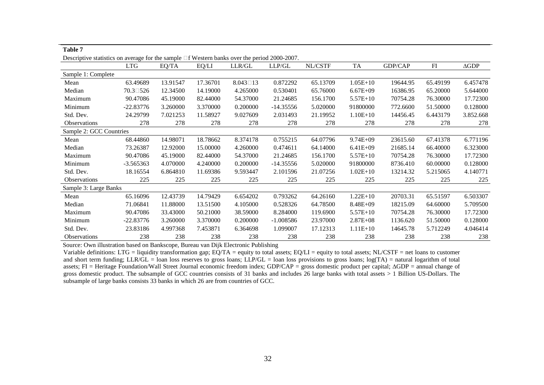| Descriptive statistics on average for the sample $\Box$ f Western banks over the period 2000-2007. |                    |          |          |                    |             |          |              |          |          |                 |
|----------------------------------------------------------------------------------------------------|--------------------|----------|----------|--------------------|-------------|----------|--------------|----------|----------|-----------------|
|                                                                                                    | LTG                | EQ/TA    | EQ/LI    | LLR/GL             | LLP/GL      | NL/CSTF  | <b>TA</b>    | GDP/CAP  | F1       | $\triangle$ GDP |
| Sample 1: Complete                                                                                 |                    |          |          |                    |             |          |              |          |          |                 |
| Mean                                                                                               | 63.49689           | 13.91547 | 17.36701 | $8.043 \square 13$ | 0.872292    | 65.13709 | $1.05E+10$   | 19644.95 | 65.49199 | 6.457478        |
| Median                                                                                             | $70.3 \square 526$ | 12.34500 | 14.19000 | 4.265000           | 0.530401    | 65.76000 | $6.67E + 09$ | 16386.95 | 65.20000 | 5.644000        |
| Maximum                                                                                            | 90.47086           | 45.19000 | 82.44000 | 54.37000           | 21.24685    | 156.1700 | $5.57E+10$   | 70754.28 | 76.30000 | 17.72300        |
| Minimum                                                                                            | $-22.83776$        | 3.260000 | 3.370000 | 0.200000           | $-14.35556$ | 5.020000 | 91800000     | 772.6600 | 51.50000 | 0.128000        |
| Std. Dev.                                                                                          | 24.29799           | 7.021253 | 11.58927 | 9.027609           | 2.031493    | 21.19952 | $1.10E+10$   | 14456.45 | 6.443179 | 3.852.668       |
| <b>Observations</b>                                                                                | 278                | 278      | 278      | 278                | 278         | 278      | 278          | 278      | 278      | 278             |
| Sample 2: GCC Countries                                                                            |                    |          |          |                    |             |          |              |          |          |                 |
| Mean                                                                                               | 68.44860           | 14.98071 | 18.78662 | 8.374178           | 0.755215    | 64.07796 | $9.74E + 09$ | 23615.60 | 67.41378 | 6.771196        |
| Median                                                                                             | 73.26387           | 12.92000 | 15.00000 | 4.260000           | 0.474611    | 64.14000 | $6.41E + 09$ | 21685.14 | 66.40000 | 6.323000        |
| Maximum                                                                                            | 90.47086           | 45.19000 | 82.44000 | 54.37000           | 21.24685    | 156.1700 | $5.57E+10$   | 70754.28 | 76.30000 | 17.72300        |
| Minimum                                                                                            | $-3.565363$        | 4.070000 | 4.240000 | 0.200000           | $-14.35556$ | 5.020000 | 91800000     | 8736.410 | 60.00000 | 0.128000        |
| Std. Dev.                                                                                          | 18.16554           | 6.864810 | 11.69386 | 9.593447           | 2.101596    | 21.07256 | $1.02E+10$   | 13214.32 | 5.215065 | 4.140771        |
| <b>Observations</b>                                                                                | 225                | 225      | 225      | 225                | 225         | 225      | 225          | 225      | 225      | 225             |
| Sample 3: Large Banks                                                                              |                    |          |          |                    |             |          |              |          |          |                 |
| Mean                                                                                               | 65.16096           | 12.43739 | 14.79429 | 6.654202           | 0.793262    | 64.26160 | $1.22E+10$   | 20703.31 | 65.51597 | 6.503307        |
| Median                                                                                             | 71.06841           | 11.88000 | 13.51500 | 4.105000           | 0.528326    | 64.78500 | 8.48E+09     | 18215.09 | 64.60000 | 5.709500        |
| Maximum                                                                                            | 90.47086           | 33.43000 | 50.21000 | 38.59000           | 8.284000    | 119.6900 | $5.57E+10$   | 70754.28 | 76.30000 | 17.72300        |
| Minimum                                                                                            | $-22.83776$        | 3.260000 | 3.370000 | 0.200000           | $-1.008586$ | 23.97000 | $2.87E + 08$ | 1136.620 | 51.50000 | 0.128000        |
| Std. Dev.                                                                                          | 23.83186           | 4.997368 | 7.453871 | 6.364698           | 1.099007    | 17.12313 | $1.11E+10$   | 14645.78 | 5.712249 | 4.046414        |
| <b>Observations</b>                                                                                | 238                | 238      | 238      | 238                | 238         | 238      | 238          | 238      | 238      | 238             |

Source: Own illustration based on Bankscope, Bureau van Dijk Electronic Publishing

**Table 7** 

 Variable definitions: LTG = liquidity transformation gap; EQ/TA = equity to total assets; EQ/LI = equity to total assets; NL/CSTF = net loans to customerand short term funding; LLR/GL = loan loss reserves to gross loans; LLP/GL = loan loss provisions to gross loans; log(TA) = natural logarithm of total assets; FI = Heritage Foundation/Wall Street Journal economic freedom index; GDP/CAP = gross domestic product per capital; ∆GDP = annual change of gross domestic product. The subsample of GCC countries consists of 31 banks and includes 26 large banks with total assets > 1 Billion US-Dollars. The subsample of large banks consists 33 banks in which 26 are from countries of GCC.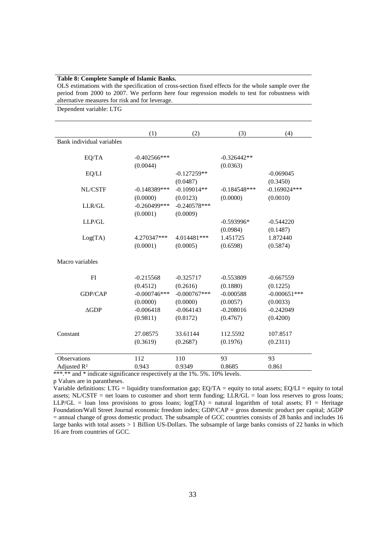#### **Table 8: Complete Sample of Islamic Banks.**

OLS estimations with the specification of cross-section fixed effects for the whole sample over the period from 2000 to 2007. We perform here four regression models to test for robustness with alternative measures for risk and for leverage.

Dependent variable: LTG

|                           | (1)             | (2)            | (3)            | (4)            |
|---------------------------|-----------------|----------------|----------------|----------------|
| Bank individual variables |                 |                |                |                |
| EQ/TA                     | $-0.402566***$  |                | $-0.326442**$  |                |
|                           | (0.0044)        |                | (0.0363)       |                |
|                           |                 | $-0.127259**$  |                | $-0.069045$    |
| EQ/LI                     |                 |                |                |                |
|                           |                 | (0.0487)       |                | (0.3450)       |
| NL/CSTF                   | $-0.148389***$  | $-0.109014**$  | $-0.184548***$ | $-0.169024***$ |
|                           | (0.0000)        | (0.0123)       | (0.0000)       | (0.0010)       |
| LLR/GL                    | $-0.260499$ *** | $-0.240578***$ |                |                |
|                           | (0.0001)        | (0.0009)       |                |                |
| LLP/GL                    |                 |                | $-0.593996*$   | $-0.544220$    |
|                           |                 |                | (0.0984)       | (0.1487)       |
| Log(TA)                   | 4.270347***     | 4.014481***    | 1.451725       | 1.872440       |
|                           | (0.0001)        | (0.0005)       | (0.6598)       | (0.5874)       |
| Macro variables           |                 |                |                |                |
| FI                        | $-0.215568$     | $-0.325717$    | $-0.553809$    | $-0.667559$    |
|                           | (0.4512)        | (0.2616)       | (0.1880)       | (0.1225)       |
| <b>GDP/CAP</b>            | $-0.000746***$  | $-0.000767***$ | $-0.000588$    | $-0.000651***$ |
|                           | (0.0000)        | (0.0000)       | (0.0057)       | (0.0033)       |
| AGDP                      | $-0.006418$     | $-0.064143$    | $-0.208016$    | $-0.242049$    |
|                           | (0.9811)        | (0.8172)       | (0.4767)       | (0.4200)       |
|                           |                 |                |                |                |
| Constant                  | 27.08575        | 33.61144       | 112.5592       | 107.8517       |
|                           | (0.3619)        | (0.2687)       | (0.1976)       | (0.2311)       |
|                           |                 |                |                |                |
| <b>Observations</b>       | 112             | 110            | 93             | 93             |
| Adjusted R <sup>2</sup>   | 0.943           | 0.9349         | 0.8685         | 0.861          |

\*\*\*.\*\* and \* indicate significance respectively at the 1%. 5%. 10% levels.

p Values are in parantheses.

Variable definitions: LTG = liquidity transformation gap; EQ/TA = equity to total assets; EQ/LI = equity to total assets; NL/CSTF = net loans to customer and short term funding; LLR/GL = loan loss reserves to gross loans; LLP/GL = loan loss provisions to gross loans;  $log(TA)$  = natural logarithm of total assets; FI = Heritage Foundation/Wall Street Journal economic freedom index; GDP/CAP = gross domestic product per capital; ∆GDP = annual change of gross domestic product. The subsample of GCC countries consists of 28 banks and includes 16 large banks with total assets > 1 Billion US-Dollars. The subsample of large banks consists of 22 banks in which 16 are from countries of GCC.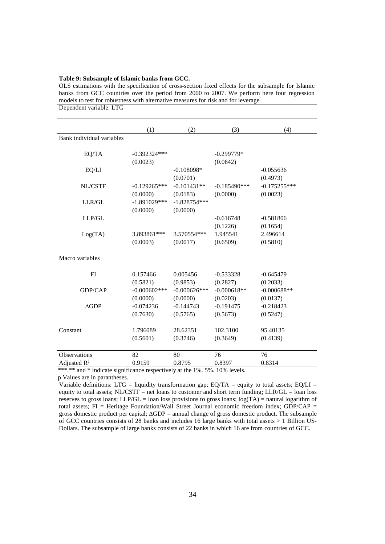#### **Table 9: Subsample of Islamic banks from GCC.**

OLS estimations with the specification of cross-section fixed effects for the subsample for Islamic banks from GCC countries over the period from 2000 to 2007. We perform here four regression models to test for robustness with alternative measures for risk and for leverage. Dependent variable: LTG

|                           | (1)             | (2)            | (3)             | (4)            |
|---------------------------|-----------------|----------------|-----------------|----------------|
| Bank individual variables |                 |                |                 |                |
|                           |                 |                |                 |                |
| EQ/TA                     | $-0.392324***$  |                | $-0.299779*$    |                |
|                           | (0.0023)        |                | (0.0842)        |                |
| EQ/LI                     |                 | $-0.108098*$   |                 | $-0.055636$    |
|                           |                 | (0.0701)       |                 | (0.4973)       |
| NL/CSTF                   | $-0.129265***$  | $-0.101431**$  | $-0.185490$ *** | $-0.175255***$ |
|                           | (0.0000)        | (0.0183)       | (0.0000)        | (0.0023)       |
| LLR/GL                    | $-1.891029***$  | $-1.828754***$ |                 |                |
|                           | (0.0000)        | (0.0000)       |                 |                |
| LLP/GL                    |                 |                | $-0.616748$     | $-0.581806$    |
|                           |                 |                | (0.1226)        | (0.1654)       |
| Log(TA)                   | 3.893861***     | 3.570554***    | 1.945541        | 2.496614       |
|                           | (0.0003)        | (0.0017)       | (0.6509)        | (0.5810)       |
|                           |                 |                |                 |                |
| Macro variables           |                 |                |                 |                |
|                           |                 |                |                 |                |
| FI                        | 0.157466        | 0.005456       | $-0.533328$     | $-0.645479$    |
|                           | (0.5821)        | (0.9853)       | (0.2827)        | (0.2033)       |
| GDP/CAP                   | $-0.000602$ *** | $-0.000626***$ | $-0.000618**$   | $-0.000688**$  |
|                           | (0.0000)        | (0.0000)       | (0.0203)        | (0.0137)       |
| AGDP                      | $-0.074236$     | $-0.144743$    | $-0.191475$     | $-0.218423$    |
|                           | (0.7630)        | (0.5765)       | (0.5673)        | (0.5247)       |
|                           |                 |                |                 |                |
| Constant                  | 1.796089        | 28.62351       | 102.3100        | 95.40135       |
|                           | (0.5601)        | (0.3746)       | (0.3649)        | (0.4139)       |
|                           |                 |                |                 |                |
| <b>Observations</b>       | 82              | 80             | 76              | 76             |
| Adjusted R <sup>2</sup>   | 0.9159          | 0.8795         | 0.8397          | 0.8314         |

\*\*\*.\*\* and \* indicate significance respectively at the 1%. 5%. 10% levels.

p Values are in parantheses.

Variable definitions: LTG = liquidity transformation gap;  $EQ/TA =$  equity to total assets;  $EQ/LI =$ equity to total assets; NL/CSTF = net loans to customer and short term funding; LLR/GL = loan loss reserves to gross loans; LLP/GL = loan loss provisions to gross loans;  $log(TA)$  = natural logarithm of total assets; FI = Heritage Foundation/Wall Street Journal economic freedom index; GDP/CAP = gross domestic product per capital; ∆GDP = annual change of gross domestic product. The subsample of GCC countries consists of 28 banks and includes 16 large banks with total assets > 1 Billion US-Dollars. The subsample of large banks consists of 22 banks in which 16 are from countries of GCC.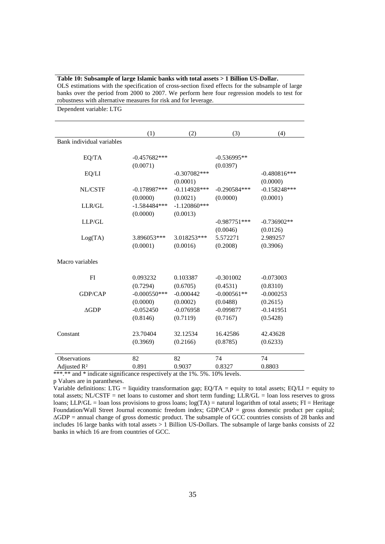| robustness with alternative measures for risk and for leverage.<br>Dependent variable: LTG |                            |                            |                            |                            |
|--------------------------------------------------------------------------------------------|----------------------------|----------------------------|----------------------------|----------------------------|
|                                                                                            | (1)                        | (2)                        | (3)                        | (4)                        |
| Bank individual variables                                                                  |                            |                            |                            |                            |
| EQ/TA                                                                                      | $-0.457682***$<br>(0.0071) |                            | $-0.536995**$<br>(0.0397)  |                            |
| EQ/LI                                                                                      |                            | $-0.307082***$<br>(0.0001) |                            | $-0.480816***$<br>(0.0000) |
| NL/CSTF                                                                                    | $-0.178987***$<br>(0.0000) | $-0.114928***$<br>(0.0021) | $-0.290584***$<br>(0.0000) | $-0.158248***$<br>(0.0001) |
| LLR/GL                                                                                     | $-1.584484***$<br>(0.0000) | $-1.120860***$<br>(0.0013) |                            |                            |
| $LLP/GL$                                                                                   |                            |                            | $-0.987751***$<br>(0.0046) | $-0.736902**$<br>(0.0126)  |
| Log(TA)                                                                                    | 3.896053***<br>(0.0001)    | 3.018253***<br>(0.0016)    | 5.572271<br>(0.2008)       | 2.989257<br>(0.3906)       |
| Macro variables                                                                            |                            |                            |                            |                            |
| FI                                                                                         | 0.093232<br>(0.7294)       | 0.103387<br>(0.6705)       | $-0.301002$<br>(0.4531)    | $-0.073003$<br>(0.8310)    |
| GDP/CAP                                                                                    | $-0.000550***$<br>(0.0000) | $-0.000442$<br>(0.0002)    | $-0.000561**$<br>(0.0488)  | $-0.000253$<br>(0.2615)    |
| $\triangle$ GDP                                                                            | $-0.052450$<br>(0.8146)    | $-0.076958$<br>(0.7119)    | $-0.099877$<br>(0.7167)    | $-0.141951$<br>(0.5428)    |
| Constant                                                                                   | 23.70404<br>(0.3969)       | 32.12534<br>(0.2166)       | 16.42586<br>(0.8785)       | 42.43628<br>(0.6233)       |
| Observations                                                                               | 82                         | 82                         | 74                         | 74                         |
| Adjusted R <sup>2</sup>                                                                    | 0.891                      | 0.9037                     | 0.8327                     | 0.8803                     |

**Table 10: Subsample of large Islamic banks with total assets > 1 Billion US-Dollar.**  OLS estimations with the specification of cross-section fixed effects for the subsample of large

\*\*\*.\*\* and \* indicate significance respectively at the 1%. 5%. 10% levels.

p Values are in parantheses.

Variable definitions: LTG = liquidity transformation gap;  $EQ/TA$  = equity to total assets;  $EQ/LI$  = equity to total assets; NL/CSTF = net loans to customer and short term funding; LLR/GL = loan loss reserves to gross loans; LLP/GL = loan loss provisions to gross loans; log(TA) = natural logarithm of total assets; FI = Heritage Foundation/Wall Street Journal economic freedom index; GDP/CAP = gross domestic product per capital; ∆GDP = annual change of gross domestic product. The subsample of GCC countries consists of 28 banks and includes 16 large banks with total assets > 1 Billion US-Dollars. The subsample of large banks consists of 22 banks in which 16 are from countries of GCC.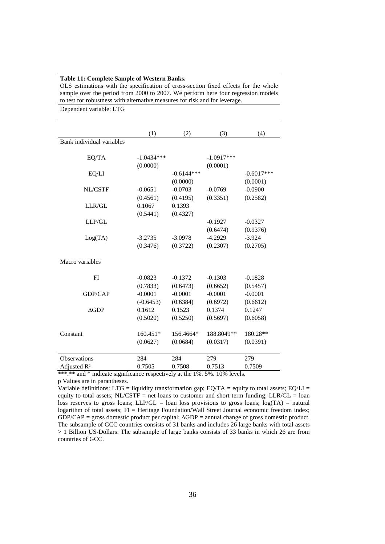| Dependent variable: LTG   |              |              |              |              |
|---------------------------|--------------|--------------|--------------|--------------|
|                           | (1)          | (2)          | (3)          | (4)          |
| Bank individual variables |              |              |              |              |
| EQ/TA                     | $-1.0434***$ |              | $-1.0917***$ |              |
|                           | (0.0000)     |              | (0.0001)     |              |
| EQ/LI                     |              | $-0.6144***$ |              | $-0.6017***$ |
|                           |              | (0.0000)     |              | (0.0001)     |
| NL/CSTF                   | $-0.0651$    | $-0.0703$    | $-0.0769$    | $-0.0900$    |
|                           | (0.4561)     | (0.4195)     | (0.3351)     | (0.2582)     |
| LLR/GL                    | 0.1067       | 0.1393       |              |              |
|                           | (0.5441)     | (0.4327)     |              |              |
| LLP/GL                    |              |              | $-0.1927$    | $-0.0327$    |
|                           |              |              | (0.6474)     | (0.9376)     |
| Log(TA)                   | $-3.2735$    | $-3.0978$    | $-4.2929$    | $-3.924$     |
|                           | (0.3476)     | (0.3722)     | (0.2307)     | (0.2705)     |
| Macro variables           |              |              |              |              |
| FI                        | $-0.0823$    | $-0.1372$    | $-0.1303$    | $-0.1828$    |
|                           | (0.7833)     | (0.6473)     | (0.6652)     | (0.5457)     |
| <b>GDP/CAP</b>            | $-0.0001$    | $-0.0001$    | $-0.0001$    | $-0.0001$    |
|                           | $(-0, 6453)$ | (0.6384)     | (0.6972)     | (0.6612)     |
| $\triangle$ GDP           | 0.1612       | 0.1523       | 0.1374       | 0.1247       |
|                           | (0.5020)     | (0.5250)     | (0.5697)     | (0.6058)     |
|                           |              |              |              |              |
| Constant                  | $160.451*$   | 156.4664*    | 188.8049**   | 180.28**     |
|                           | (0.0627)     | (0.0684)     | (0.0317)     | (0.0391)     |
| <b>Observations</b>       | 284          | 284          | 279          | 279          |
| Adjusted R <sup>2</sup>   | 0.7505       | 0.7508       | 0.7513       | 0.7509       |

#### **Table 11: Complete Sample of Western Banks.**

OLS estimations with the specification of cross-section fixed effects for the whole sample over the period from 2000 to 2007. We perform here four regression models to test for robustness with alternative measures for risk and for leverage.

\*\*\*.\*\* and \* indicate significance respectively at the 1%. 5%. 10% levels.

p Values are in parantheses.

Variable definitions: LTG = liquidity transformation gap;  $EQ/TA =$  equity to total assets;  $EQ/LI =$ equity to total assets;  $NL/CSTF = net$  loans to customer and short term funding;  $LLR/GL = loan$ loss reserves to gross loans; LLP/GL = loan loss provisions to gross loans;  $log(TA)$  = natural logarithm of total assets; FI = Heritage Foundation/Wall Street Journal economic freedom index; GDP/CAP = gross domestic product per capital; ∆GDP = annual change of gross domestic product. The subsample of GCC countries consists of 31 banks and includes 26 large banks with total assets > 1 Billion US-Dollars. The subsample of large banks consists of 33 banks in which 26 are from countries of GCC.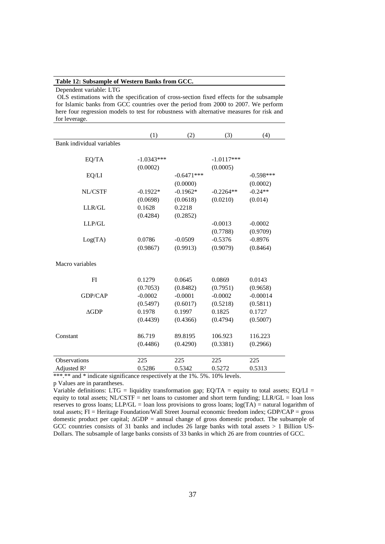#### **Table 12: Subsample of Western Banks from GCC.**

 OLS estimations with the specification of cross-section fixed effects for the subsample for Islamic banks from GCC countries over the period from 2000 to 2007. We perform here four regression models to test for robustness with alternative measures for risk and for leverage.

|                           | (1)          | (2)          | (3)          | (4)         |
|---------------------------|--------------|--------------|--------------|-------------|
| Bank individual variables |              |              |              |             |
|                           |              |              |              |             |
| EQ/TA                     | $-1.0343***$ |              | $-1.0117***$ |             |
|                           | (0.0002)     |              | (0.0005)     |             |
| EQ/LI                     |              | $-0.6471***$ |              | $-0.598***$ |
|                           |              | (0.0000)     |              | (0.0002)    |
| NL/CSTF                   | $-0.1922*$   | $-0.1962*$   | $-0.2264**$  | $-0.24**$   |
|                           | (0.0698)     | (0.0618)     | (0.0210)     | (0.014)     |
| LLR/GL                    | 0.1628       | 0.2218       |              |             |
|                           | (0.4284)     | (0.2852)     |              |             |
| $LLP/GL$                  |              |              | $-0.0013$    | $-0.0002$   |
|                           |              |              | (0.7788)     | (0.9709)    |
| Log(TA)                   | 0.0786       | $-0.0509$    | $-0.5376$    | $-0.8976$   |
|                           | (0.9867)     | (0.9913)     | (0.9079)     | (0.8464)    |
|                           |              |              |              |             |
| Macro variables           |              |              |              |             |
|                           |              |              |              |             |
| FI                        | 0.1279       | 0.0645       | 0.0869       | 0.0143      |
|                           | (0.7053)     | (0.8482)     | (0.7951)     | (0.9658)    |
| <b>GDP/CAP</b>            | $-0.0002$    | $-0.0001$    | $-0.0002$    | $-0.00014$  |
|                           | (0.5497)     | (0.6017)     | (0.5218)     | (0.5811)    |
| AGDP                      | 0.1978       | 0.1997       | 0.1825       | 0.1727      |
|                           | (0.4439)     | (0.4366)     | (0.4794)     | (0.5007)    |
|                           |              |              |              |             |
| Constant                  | 86.719       | 89.8195      | 106.923      | 116.223     |
|                           | (0.4486)     | (0.4290)     | (0.3381)     | (0.2966)    |
|                           |              |              |              |             |
| <b>Observations</b>       | 225          | 225          | 225          | 225         |
| Adjusted R <sup>2</sup>   | 0.5286       | 0.5342       | 0.5272       | 0.5313      |

\*\*\*.\*\* and \* indicate significance respectively at the 1%. 5%. 10% levels.

p Values are in parantheses.

Variable definitions: LTG = liquidity transformation gap; EQ/TA = equity to total assets; EQ/LI = equity to total assets; NL/CSTF = net loans to customer and short term funding; LLR/GL = loan loss reserves to gross loans; LLP/GL = loan loss provisions to gross loans;  $log(TA)$  = natural logarithm of total assets; FI = Heritage Foundation/Wall Street Journal economic freedom index; GDP/CAP = gross domestic product per capital; ∆GDP = annual change of gross domestic product. The subsample of GCC countries consists of 31 banks and includes 26 large banks with total assets > 1 Billion US-Dollars. The subsample of large banks consists of 33 banks in which 26 are from countries of GCC.